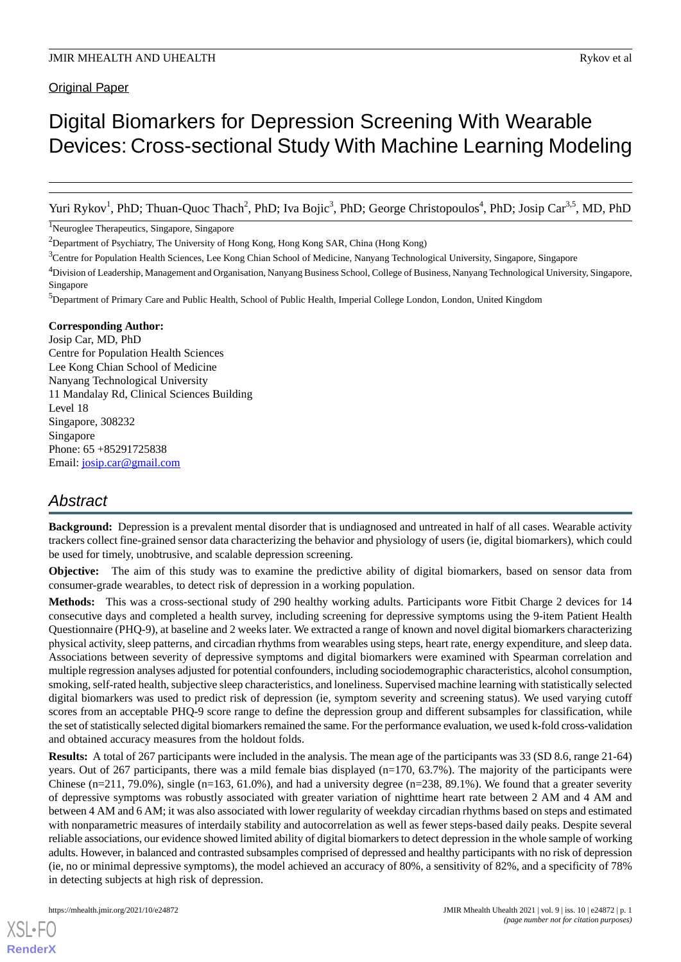# Digital Biomarkers for Depression Screening With Wearable Devices: Cross-sectional Study With Machine Learning Modeling

Yuri Rykov<sup>1</sup>, PhD; Thuan-Quoc Thach<sup>2</sup>, PhD; Iva Bojic<sup>3</sup>, PhD; George Christopoulos<sup>4</sup>, PhD; Josip Car<sup>3,5</sup>, MD, PhD

<sup>1</sup>Neuroglee Therapeutics, Singapore, Singapore

<sup>2</sup>Department of Psychiatry, The University of Hong Kong, Hong Kong SAR, China (Hong Kong)

<sup>3</sup>Centre for Population Health Sciences, Lee Kong Chian School of Medicine, Nanyang Technological University, Singapore, Singapore

<sup>4</sup>Division of Leadership, Management and Organisation, Nanyang Business School, College of Business, Nanyang Technological University, Singapore, Singapore

<sup>5</sup>Department of Primary Care and Public Health, School of Public Health, Imperial College London, London, United Kingdom

# **Corresponding Author:**

Josip Car, MD, PhD Centre for Population Health Sciences Lee Kong Chian School of Medicine Nanyang Technological University 11 Mandalay Rd, Clinical Sciences Building Level 18 Singapore, 308232 Singapore Phone: 65 +85291725838 Email: [josip.car@gmail.com](mailto:josip.car@gmail.com)

# *Abstract*

**Background:** Depression is a prevalent mental disorder that is undiagnosed and untreated in half of all cases. Wearable activity trackers collect fine-grained sensor data characterizing the behavior and physiology of users (ie, digital biomarkers), which could be used for timely, unobtrusive, and scalable depression screening.

**Objective:** The aim of this study was to examine the predictive ability of digital biomarkers, based on sensor data from consumer-grade wearables, to detect risk of depression in a working population.

**Methods:** This was a cross-sectional study of 290 healthy working adults. Participants wore Fitbit Charge 2 devices for 14 consecutive days and completed a health survey, including screening for depressive symptoms using the 9-item Patient Health Questionnaire (PHQ-9), at baseline and 2 weeks later. We extracted a range of known and novel digital biomarkers characterizing physical activity, sleep patterns, and circadian rhythms from wearables using steps, heart rate, energy expenditure, and sleep data. Associations between severity of depressive symptoms and digital biomarkers were examined with Spearman correlation and multiple regression analyses adjusted for potential confounders, including sociodemographic characteristics, alcohol consumption, smoking, self-rated health, subjective sleep characteristics, and loneliness. Supervised machine learning with statistically selected digital biomarkers was used to predict risk of depression (ie, symptom severity and screening status). We used varying cutoff scores from an acceptable PHQ-9 score range to define the depression group and different subsamples for classification, while the set of statistically selected digital biomarkers remained the same. For the performance evaluation, we used k-fold cross-validation and obtained accuracy measures from the holdout folds.

**Results:** A total of 267 participants were included in the analysis. The mean age of the participants was 33 (SD 8.6, range 21-64) years. Out of 267 participants, there was a mild female bias displayed (n=170, 63.7%). The majority of the participants were Chinese (n=211, 79.0%), single (n=163, 61.0%), and had a university degree (n=238, 89.1%). We found that a greater severity of depressive symptoms was robustly associated with greater variation of nighttime heart rate between 2 AM and 4 AM and between 4 AM and 6 AM; it was also associated with lower regularity of weekday circadian rhythms based on steps and estimated with nonparametric measures of interdaily stability and autocorrelation as well as fewer steps-based daily peaks. Despite several reliable associations, our evidence showed limited ability of digital biomarkers to detect depression in the whole sample of working adults. However, in balanced and contrasted subsamples comprised of depressed and healthy participants with no risk of depression (ie, no or minimal depressive symptoms), the model achieved an accuracy of 80%, a sensitivity of 82%, and a specificity of 78% in detecting subjects at high risk of depression.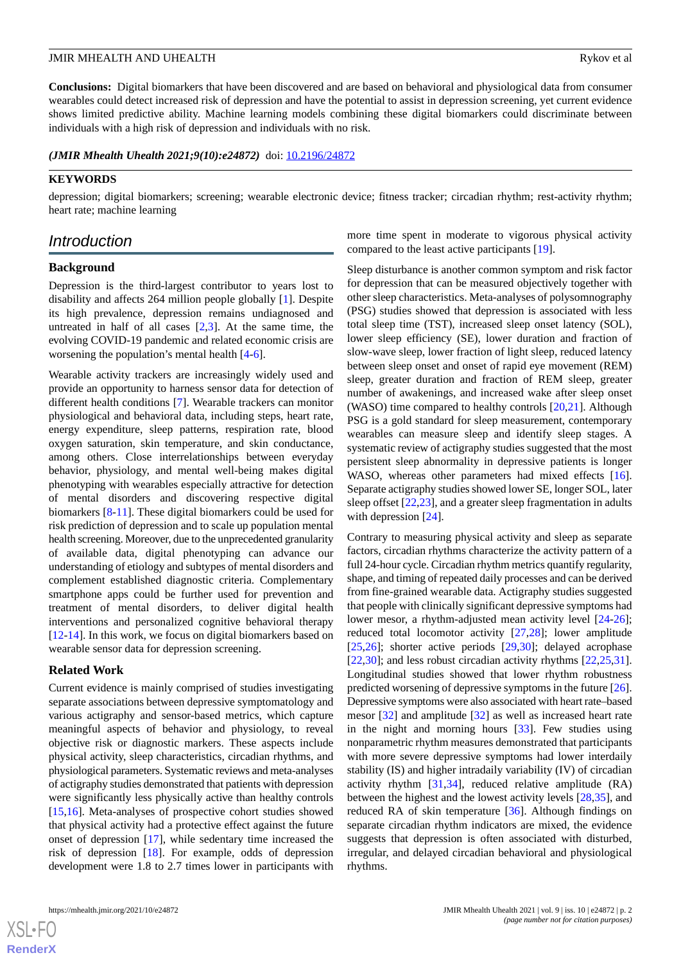**Conclusions:** Digital biomarkers that have been discovered and are based on behavioral and physiological data from consumer wearables could detect increased risk of depression and have the potential to assist in depression screening, yet current evidence shows limited predictive ability. Machine learning models combining these digital biomarkers could discriminate between individuals with a high risk of depression and individuals with no risk.

*(JMIR Mhealth Uhealth 2021;9(10):e24872)* doi: [10.2196/24872](http://dx.doi.org/10.2196/24872)

# **KEYWORDS**

depression; digital biomarkers; screening; wearable electronic device; fitness tracker; circadian rhythm; rest-activity rhythm; heart rate; machine learning

# *Introduction*

# **Background**

Depression is the third-largest contributor to years lost to disability and affects 264 million people globally [\[1](#page-19-0)]. Despite its high prevalence, depression remains undiagnosed and untreated in half of all cases  $[2,3]$  $[2,3]$  $[2,3]$ . At the same time, the evolving COVID-19 pandemic and related economic crisis are worsening the population's mental health [\[4](#page-19-3)-[6\]](#page-19-4).

Wearable activity trackers are increasingly widely used and provide an opportunity to harness sensor data for detection of different health conditions [[7\]](#page-20-0). Wearable trackers can monitor physiological and behavioral data, including steps, heart rate, energy expenditure, sleep patterns, respiration rate, blood oxygen saturation, skin temperature, and skin conductance, among others. Close interrelationships between everyday behavior, physiology, and mental well-being makes digital phenotyping with wearables especially attractive for detection of mental disorders and discovering respective digital biomarkers [\[8](#page-20-1)-[11\]](#page-20-2). These digital biomarkers could be used for risk prediction of depression and to scale up population mental health screening. Moreover, due to the unprecedented granularity of available data, digital phenotyping can advance our understanding of etiology and subtypes of mental disorders and complement established diagnostic criteria. Complementary smartphone apps could be further used for prevention and treatment of mental disorders, to deliver digital health interventions and personalized cognitive behavioral therapy [[12](#page-20-3)[-14](#page-20-4)]. In this work, we focus on digital biomarkers based on wearable sensor data for depression screening.

### **Related Work**

Current evidence is mainly comprised of studies investigating separate associations between depressive symptomatology and various actigraphy and sensor-based metrics, which capture meaningful aspects of behavior and physiology, to reveal objective risk or diagnostic markers. These aspects include physical activity, sleep characteristics, circadian rhythms, and physiological parameters. Systematic reviews and meta-analyses of actigraphy studies demonstrated that patients with depression were significantly less physically active than healthy controls [[15](#page-20-5)[,16](#page-20-6)]. Meta-analyses of prospective cohort studies showed that physical activity had a protective effect against the future onset of depression [\[17](#page-20-7)], while sedentary time increased the risk of depression [\[18](#page-20-8)]. For example, odds of depression development were 1.8 to 2.7 times lower in participants with

[XSL](http://www.w3.org/Style/XSL)•FO **[RenderX](http://www.renderx.com/)**

more time spent in moderate to vigorous physical activity compared to the least active participants [[19\]](#page-20-9).

Sleep disturbance is another common symptom and risk factor for depression that can be measured objectively together with other sleep characteristics. Meta-analyses of polysomnography (PSG) studies showed that depression is associated with less total sleep time (TST), increased sleep onset latency (SOL), lower sleep efficiency (SE), lower duration and fraction of slow-wave sleep, lower fraction of light sleep, reduced latency between sleep onset and onset of rapid eye movement (REM) sleep, greater duration and fraction of REM sleep, greater number of awakenings, and increased wake after sleep onset (WASO) time compared to healthy controls [\[20](#page-20-10)[,21](#page-20-11)]. Although PSG is a gold standard for sleep measurement, contemporary wearables can measure sleep and identify sleep stages. A systematic review of actigraphy studies suggested that the most persistent sleep abnormality in depressive patients is longer WASO, whereas other parameters had mixed effects [[16\]](#page-20-6). Separate actigraphy studies showed lower SE, longer SOL, later sleep offset [\[22](#page-20-12),[23\]](#page-20-13), and a greater sleep fragmentation in adults with depression [\[24](#page-20-14)].

Contrary to measuring physical activity and sleep as separate factors, circadian rhythms characterize the activity pattern of a full 24-hour cycle. Circadian rhythm metrics quantify regularity, shape, and timing of repeated daily processes and can be derived from fine-grained wearable data. Actigraphy studies suggested that people with clinically significant depressive symptoms had lower mesor, a rhythm-adjusted mean activity level [\[24](#page-20-14)-[26\]](#page-20-15); reduced total locomotor activity [\[27](#page-20-16),[28\]](#page-21-0); lower amplitude [[25,](#page-20-17)[26\]](#page-20-15); shorter active periods [[29](#page-21-1)[,30](#page-21-2)]; delayed acrophase [[22,](#page-20-12)[30\]](#page-21-2); and less robust circadian activity rhythms [[22](#page-20-12)[,25](#page-20-17),[31\]](#page-21-3). Longitudinal studies showed that lower rhythm robustness predicted worsening of depressive symptoms in the future [[26\]](#page-20-15). Depressive symptoms were also associated with heart rate–based mesor [\[32](#page-21-4)] and amplitude [[32\]](#page-21-4) as well as increased heart rate in the night and morning hours [\[33](#page-21-5)]. Few studies using nonparametric rhythm measures demonstrated that participants with more severe depressive symptoms had lower interdaily stability (IS) and higher intradaily variability (IV) of circadian activity rhythm [[31](#page-21-3)[,34](#page-21-6)], reduced relative amplitude (RA) between the highest and the lowest activity levels [\[28](#page-21-0),[35\]](#page-21-7), and reduced RA of skin temperature [[36\]](#page-21-8). Although findings on separate circadian rhythm indicators are mixed, the evidence suggests that depression is often associated with disturbed, irregular, and delayed circadian behavioral and physiological rhythms.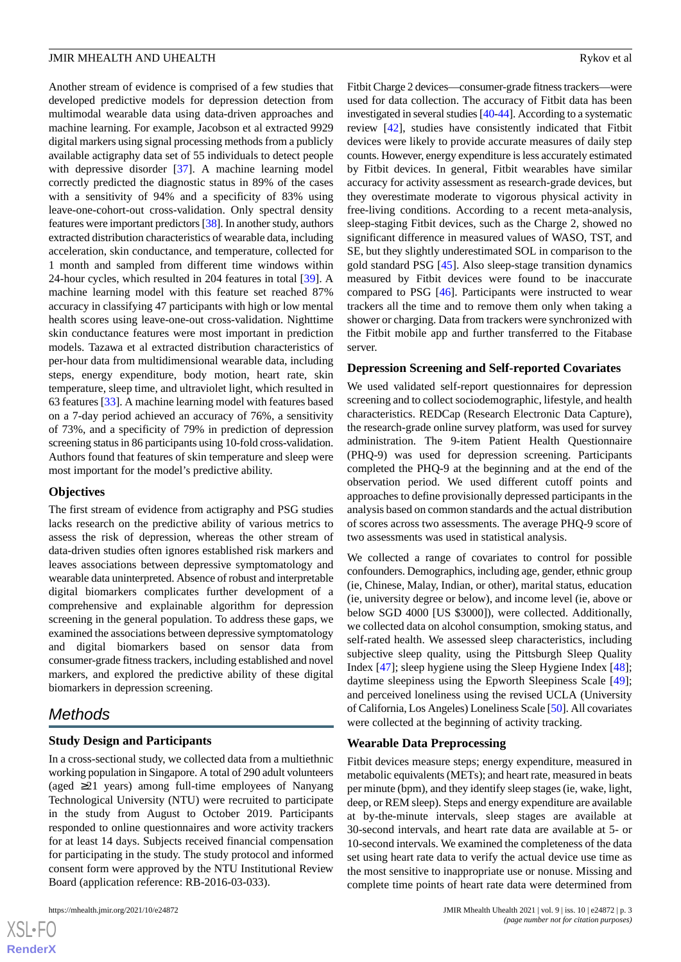Another stream of evidence is comprised of a few studies that developed predictive models for depression detection from multimodal wearable data using data-driven approaches and machine learning. For example, Jacobson et al extracted 9929 digital markers using signal processing methods from a publicly available actigraphy data set of 55 individuals to detect people with depressive disorder [[37\]](#page-21-9). A machine learning model correctly predicted the diagnostic status in 89% of the cases with a sensitivity of 94% and a specificity of 83% using leave-one-cohort-out cross-validation. Only spectral density features were important predictors [[38\]](#page-21-10). In another study, authors extracted distribution characteristics of wearable data, including acceleration, skin conductance, and temperature, collected for 1 month and sampled from different time windows within 24-hour cycles, which resulted in 204 features in total [[39\]](#page-21-11). A machine learning model with this feature set reached 87% accuracy in classifying 47 participants with high or low mental health scores using leave-one-out cross-validation. Nighttime skin conductance features were most important in prediction models. Tazawa et al extracted distribution characteristics of per-hour data from multidimensional wearable data, including steps, energy expenditure, body motion, heart rate, skin temperature, sleep time, and ultraviolet light, which resulted in 63 features [\[33](#page-21-5)]. A machine learning model with features based on a 7-day period achieved an accuracy of 76%, a sensitivity of 73%, and a specificity of 79% in prediction of depression screening status in 86 participants using 10-fold cross-validation. Authors found that features of skin temperature and sleep were most important for the model's predictive ability.

### **Objectives**

The first stream of evidence from actigraphy and PSG studies lacks research on the predictive ability of various metrics to assess the risk of depression, whereas the other stream of data-driven studies often ignores established risk markers and leaves associations between depressive symptomatology and wearable data uninterpreted. Absence of robust and interpretable digital biomarkers complicates further development of a comprehensive and explainable algorithm for depression screening in the general population. To address these gaps, we examined the associations between depressive symptomatology and digital biomarkers based on sensor data from consumer-grade fitness trackers, including established and novel markers, and explored the predictive ability of these digital biomarkers in depression screening.

# *Methods*

# **Study Design and Participants**

In a cross-sectional study, we collected data from a multiethnic working population in Singapore. A total of 290 adult volunteers (aged ≥21 years) among full-time employees of Nanyang Technological University (NTU) were recruited to participate in the study from August to October 2019. Participants responded to online questionnaires and wore activity trackers for at least 14 days. Subjects received financial compensation for participating in the study. The study protocol and informed consent form were approved by the NTU Institutional Review Board (application reference: RB-2016-03-033).

Fitbit Charge 2 devices—consumer-grade fitness trackers—were used for data collection. The accuracy of Fitbit data has been investigated in several studies [\[40](#page-21-12)-[44](#page-21-13)]. According to a systematic review [[42\]](#page-21-14), studies have consistently indicated that Fitbit devices were likely to provide accurate measures of daily step counts. However, energy expenditure is less accurately estimated by Fitbit devices. In general, Fitbit wearables have similar accuracy for activity assessment as research-grade devices, but they overestimate moderate to vigorous physical activity in free-living conditions. According to a recent meta-analysis, sleep-staging Fitbit devices, such as the Charge 2, showed no significant difference in measured values of WASO, TST, and SE, but they slightly underestimated SOL in comparison to the gold standard PSG [[45\]](#page-21-15). Also sleep-stage transition dynamics measured by Fitbit devices were found to be inaccurate compared to PSG [\[46](#page-21-16)]. Participants were instructed to wear trackers all the time and to remove them only when taking a shower or charging. Data from trackers were synchronized with the Fitbit mobile app and further transferred to the Fitabase server.

# **Depression Screening and Self-reported Covariates**

We used validated self-report questionnaires for depression screening and to collect sociodemographic, lifestyle, and health characteristics. REDCap (Research Electronic Data Capture), the research-grade online survey platform, was used for survey administration. The 9-item Patient Health Questionnaire (PHQ-9) was used for depression screening. Participants completed the PHQ-9 at the beginning and at the end of the observation period. We used different cutoff points and approaches to define provisionally depressed participants in the analysis based on common standards and the actual distribution of scores across two assessments. The average PHQ-9 score of two assessments was used in statistical analysis.

We collected a range of covariates to control for possible confounders. Demographics, including age, gender, ethnic group (ie, Chinese, Malay, Indian, or other), marital status, education (ie, university degree or below), and income level (ie, above or below SGD 4000 [US \$3000]), were collected. Additionally, we collected data on alcohol consumption, smoking status, and self-rated health. We assessed sleep characteristics, including subjective sleep quality, using the Pittsburgh Sleep Quality Index [\[47](#page-21-17)]; sleep hygiene using the Sleep Hygiene Index [[48\]](#page-21-18); daytime sleepiness using the Epworth Sleepiness Scale [[49\]](#page-22-0); and perceived loneliness using the revised UCLA (University of California, Los Angeles) Loneliness Scale [[50\]](#page-22-1). All covariates were collected at the beginning of activity tracking.

### **Wearable Data Preprocessing**

Fitbit devices measure steps; energy expenditure, measured in metabolic equivalents (METs); and heart rate, measured in beats per minute (bpm), and they identify sleep stages (ie, wake, light, deep, or REM sleep). Steps and energy expenditure are available at by-the-minute intervals, sleep stages are available at 30-second intervals, and heart rate data are available at 5- or 10-second intervals. We examined the completeness of the data set using heart rate data to verify the actual device use time as the most sensitive to inappropriate use or nonuse. Missing and complete time points of heart rate data were determined from

 $XS$  $\cdot$ FC **[RenderX](http://www.renderx.com/)**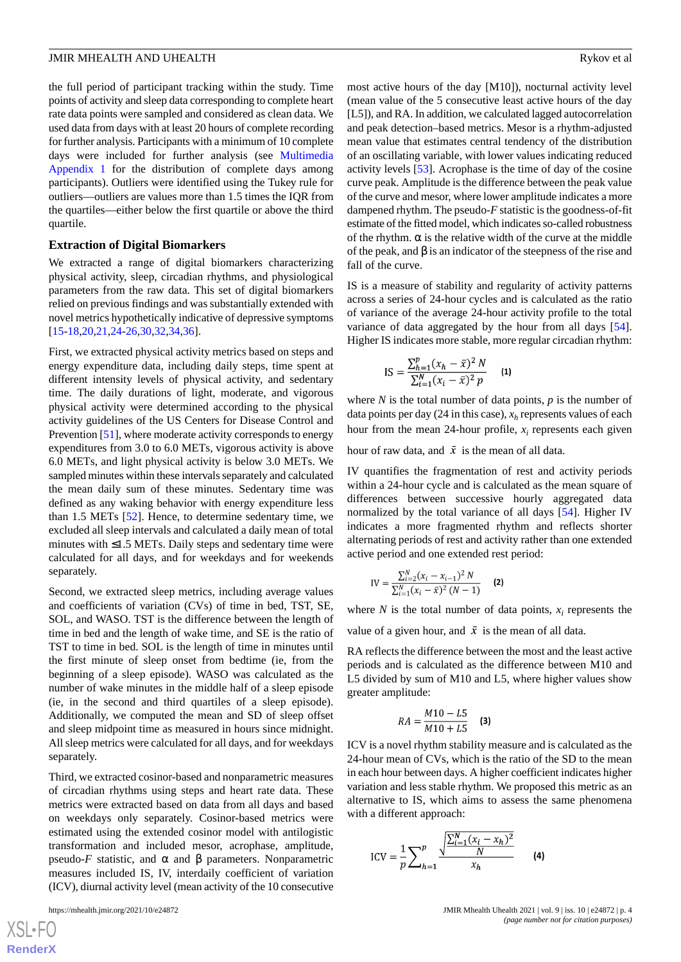the full period of participant tracking within the study. Time points of activity and sleep data corresponding to complete heart rate data points were sampled and considered as clean data. We used data from days with at least 20 hours of complete recording for further analysis. Participants with a minimum of 10 complete days were included for further analysis (see [Multimedia](#page-19-5) [Appendix 1](#page-19-5) for the distribution of complete days among participants). Outliers were identified using the Tukey rule for outliers—outliers are values more than 1.5 times the IQR from the quartiles—either below the first quartile or above the third quartile.

### **Extraction of Digital Biomarkers**

We extracted a range of digital biomarkers characterizing physical activity, sleep, circadian rhythms, and physiological parameters from the raw data. This set of digital biomarkers relied on previous findings and was substantially extended with novel metrics hypothetically indicative of depressive symptoms [[15](#page-20-5)[-18](#page-20-8),[20,](#page-20-10)[21](#page-20-11),[24-](#page-20-14)[26](#page-20-15)[,30](#page-21-2)[,32](#page-21-4),[34,](#page-21-6)[36](#page-21-8)].

First, we extracted physical activity metrics based on steps and energy expenditure data, including daily steps, time spent at different intensity levels of physical activity, and sedentary time. The daily durations of light, moderate, and vigorous physical activity were determined according to the physical activity guidelines of the US Centers for Disease Control and Prevention [\[51](#page-22-2)], where moderate activity corresponds to energy expenditures from 3.0 to 6.0 METs, vigorous activity is above 6.0 METs, and light physical activity is below 3.0 METs. We sampled minutes within these intervals separately and calculated the mean daily sum of these minutes. Sedentary time was defined as any waking behavior with energy expenditure less than 1.5 METs [\[52](#page-22-3)]. Hence, to determine sedentary time, we excluded all sleep intervals and calculated a daily mean of total minutes with  $\leq$ 1.5 METs. Daily steps and sedentary time were calculated for all days, and for weekdays and for weekends separately.

Second, we extracted sleep metrics, including average values and coefficients of variation (CVs) of time in bed, TST, SE, SOL, and WASO. TST is the difference between the length of time in bed and the length of wake time, and SE is the ratio of TST to time in bed. SOL is the length of time in minutes until the first minute of sleep onset from bedtime (ie, from the beginning of a sleep episode). WASO was calculated as the number of wake minutes in the middle half of a sleep episode (ie, in the second and third quartiles of a sleep episode). Additionally, we computed the mean and SD of sleep offset and sleep midpoint time as measured in hours since midnight. All sleep metrics were calculated for all days, and for weekdays separately.

Third, we extracted cosinor-based and nonparametric measures of circadian rhythms using steps and heart rate data. These metrics were extracted based on data from all days and based on weekdays only separately. Cosinor-based metrics were estimated using the extended cosinor model with antilogistic transformation and included mesor, acrophase, amplitude, pseudo-*F* statistic, and  $\alpha$  and  $\beta$  parameters. Nonparametric measures included IS, IV, interdaily coefficient of variation (ICV), diurnal activity level (mean activity of the 10 consecutive

most active hours of the day [M10]), nocturnal activity level (mean value of the 5 consecutive least active hours of the day [L5]), and RA. In addition, we calculated lagged autocorrelation and peak detection–based metrics. Mesor is a rhythm-adjusted mean value that estimates central tendency of the distribution of an oscillating variable, with lower values indicating reduced activity levels [[53\]](#page-22-4). Acrophase is the time of day of the cosine curve peak. Amplitude is the difference between the peak value of the curve and mesor, where lower amplitude indicates a more dampened rhythm. The pseudo-*F* statistic is the goodness-of-fit estimate of the fitted model, which indicates so-called robustness of the rhythm.  $\alpha$  is the relative width of the curve at the middle of the peak, and  $\beta$  is an indicator of the steepness of the rise and fall of the curve.

IS is a measure of stability and regularity of activity patterns across a series of 24-hour cycles and is calculated as the ratio of variance of the average 24-hour activity profile to the total variance of data aggregated by the hour from all days [[54\]](#page-22-5). Higher IS indicates more stable, more regular circadian rhythm:

$$
IS = \frac{\sum_{h=1}^{p} (x_h - \bar{x})^2 N}{\sum_{i=1}^{N} (x_i - \bar{x})^2 p}
$$
 (1)

where *N* is the total number of data points, *p* is the number of data points per day (24 in this case), *x<sup>h</sup>* represents values of each hour from the mean 24-hour profile,  $x_i$  represents each given

hour of raw data, and  $\bar{x}$  is the mean of all data.

IV quantifies the fragmentation of rest and activity periods within a 24-hour cycle and is calculated as the mean square of differences between successive hourly aggregated data normalized by the total variance of all days [\[54](#page-22-5)]. Higher IV indicates a more fragmented rhythm and reflects shorter alternating periods of rest and activity rather than one extended active period and one extended rest period:

$$
IV = \frac{\sum_{i=2}^{N} (x_i - x_{i-1})^2 N}{\sum_{i=1}^{N} (x_i - \bar{x})^2 (N - 1)}
$$
 (2)

where  $N$  is the total number of data points,  $x_i$  represents the

value of a given hour, and  $\bar{x}$  is the mean of all data.

RA reflects the difference between the most and the least active periods and is calculated as the difference between M10 and L5 divided by sum of M10 and L5, where higher values show greater amplitude:

$$
RA = \frac{M10 - L5}{M10 + L5}
$$
 (3)

ICV is a novel rhythm stability measure and is calculated as the 24-hour mean of CVs, which is the ratio of the SD to the mean in each hour between days. A higher coefficient indicates higher variation and less stable rhythm. We proposed this metric as an alternative to IS, which aims to assess the same phenomena with a different approach:

$$
ICV = \frac{1}{p} \sum_{h=1}^{p} \frac{\sqrt{\frac{\sum_{i=1}^{N} (x_i - x_h)^2}{N}}}{x_h}
$$
 (4)

 $XS$ -FO **[RenderX](http://www.renderx.com/)**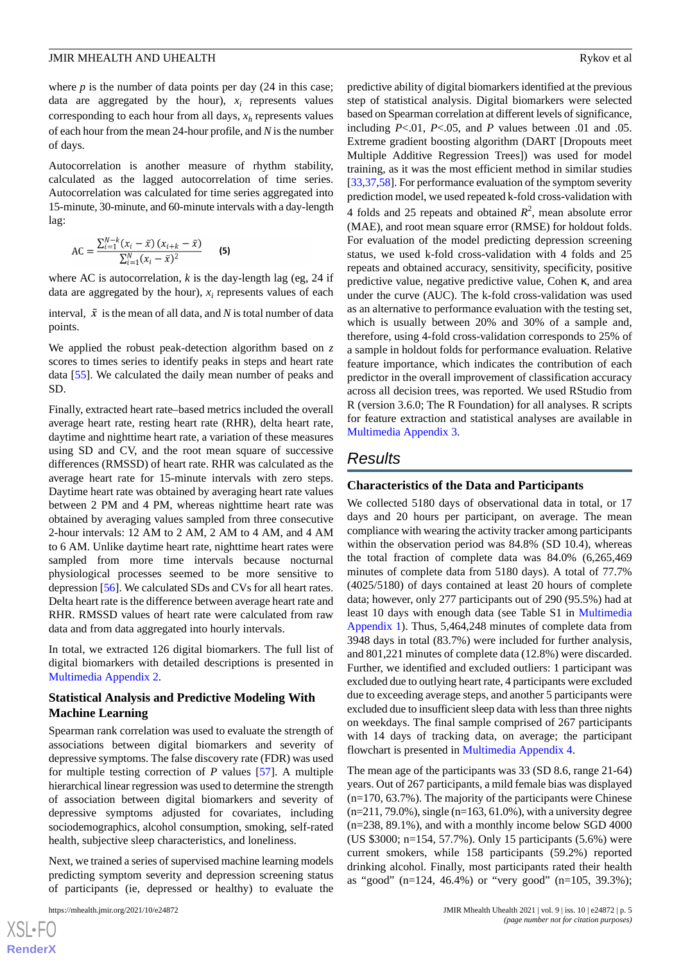where  $p$  is the number of data points per day  $(24 \text{ in this case})$ ; data are aggregated by the hour),  $x_i$  represents values corresponding to each hour from all days, *x<sup>h</sup>* represents values of each hour from the mean 24-hour profile, and *N* is the number of days.

Autocorrelation is another measure of rhythm stability, calculated as the lagged autocorrelation of time series. Autocorrelation was calculated for time series aggregated into 15-minute, 30-minute, and 60-minute intervals with a day-length lag:

$$
AC = \frac{\sum_{i=1}^{N-k} (x_i - \bar{x}) (x_{i+k} - \bar{x})}{\sum_{i=1}^{N} (x_i - \bar{x})^2}
$$
 (5)

where AC is autocorrelation,  $k$  is the day-length lag (eg, 24 if data are aggregated by the hour), *x<sup>i</sup>* represents values of each

interval,  $\bar{x}$  is the mean of all data, and *N* is total number of data points.

We applied the robust peak-detection algorithm based on *z* scores to times series to identify peaks in steps and heart rate data [[55\]](#page-22-6). We calculated the daily mean number of peaks and SD.

Finally, extracted heart rate–based metrics included the overall average heart rate, resting heart rate (RHR), delta heart rate, daytime and nighttime heart rate, a variation of these measures using SD and CV, and the root mean square of successive differences (RMSSD) of heart rate. RHR was calculated as the average heart rate for 15-minute intervals with zero steps. Daytime heart rate was obtained by averaging heart rate values between 2 PM and 4 PM, whereas nighttime heart rate was obtained by averaging values sampled from three consecutive 2-hour intervals: 12 AM to 2 AM, 2 AM to 4 AM, and 4 AM to 6 AM. Unlike daytime heart rate, nighttime heart rates were sampled from more time intervals because nocturnal physiological processes seemed to be more sensitive to depression [[56\]](#page-22-7). We calculated SDs and CVs for all heart rates. Delta heart rate is the difference between average heart rate and RHR. RMSSD values of heart rate were calculated from raw data and from data aggregated into hourly intervals.

In total, we extracted 126 digital biomarkers. The full list of digital biomarkers with detailed descriptions is presented in [Multimedia Appendix 2.](#page-19-6)

# **Statistical Analysis and Predictive Modeling With Machine Learning**

Spearman rank correlation was used to evaluate the strength of associations between digital biomarkers and severity of depressive symptoms. The false discovery rate (FDR) was used for multiple testing correction of *P* values [[57\]](#page-22-8). A multiple hierarchical linear regression was used to determine the strength of association between digital biomarkers and severity of depressive symptoms adjusted for covariates, including sociodemographics, alcohol consumption, smoking, self-rated health, subjective sleep characteristics, and loneliness.

Next, we trained a series of supervised machine learning models predicting symptom severity and depression screening status of participants (ie, depressed or healthy) to evaluate the

predictive ability of digital biomarkers identified at the previous step of statistical analysis. Digital biomarkers were selected based on Spearman correlation at different levels of significance, including *P*<.01, *P*<.05, and *P* values between .01 and .05. Extreme gradient boosting algorithm (DART [Dropouts meet Multiple Additive Regression Trees]) was used for model training, as it was the most efficient method in similar studies [[33](#page-21-5)[,37](#page-21-9),[58\]](#page-22-9). For performance evaluation of the symptom severity prediction model, we used repeated k-fold cross-validation with 4 folds and 25 repeats and obtained  $R^2$ , mean absolute error (MAE), and root mean square error (RMSE) for holdout folds. For evaluation of the model predicting depression screening status, we used k-fold cross-validation with 4 folds and 25 repeats and obtained accuracy, sensitivity, specificity, positive predictive value, negative predictive value, Cohen κ, and area under the curve (AUC). The k-fold cross-validation was used as an alternative to performance evaluation with the testing set, which is usually between 20% and 30% of a sample and, therefore, using 4-fold cross-validation corresponds to 25% of a sample in holdout folds for performance evaluation. Relative feature importance, which indicates the contribution of each predictor in the overall improvement of classification accuracy across all decision trees, was reported. We used RStudio from R (version 3.6.0; The R Foundation) for all analyses. R scripts for feature extraction and statistical analyses are available in [Multimedia Appendix 3.](#page-19-7)

# *Results*

# **Characteristics of the Data and Participants**

We collected 5180 days of observational data in total, or 17 days and 20 hours per participant, on average. The mean compliance with wearing the activity tracker among participants within the observation period was 84.8% (SD 10.4), whereas the total fraction of complete data was 84.0% (6,265,469 minutes of complete data from 5180 days). A total of 77.7% (4025/5180) of days contained at least 20 hours of complete data; however, only 277 participants out of 290 (95.5%) had at least 10 days with enough data (see Table S1 in [Multimedia](#page-19-5) [Appendix 1](#page-19-5)). Thus, 5,464,248 minutes of complete data from 3948 days in total (83.7%) were included for further analysis, and 801,221 minutes of complete data (12.8%) were discarded. Further, we identified and excluded outliers: 1 participant was excluded due to outlying heart rate, 4 participants were excluded due to exceeding average steps, and another 5 participants were excluded due to insufficient sleep data with less than three nights on weekdays. The final sample comprised of 267 participants with 14 days of tracking data, on average; the participant flowchart is presented in [Multimedia Appendix 4.](#page-19-8)

The mean age of the participants was 33 (SD 8.6, range 21-64) years. Out of 267 participants, a mild female bias was displayed (n=170, 63.7%). The majority of the participants were Chinese  $(n=211, 79.0\%)$ , single  $(n=163, 61.0\%)$ , with a university degree (n=238, 89.1%), and with a monthly income below SGD 4000 (US \$3000; n=154, 57.7%). Only 15 participants (5.6%) were current smokers, while 158 participants (59.2%) reported drinking alcohol. Finally, most participants rated their health as "good" (n=124, 46.4%) or "very good" (n=105, 39.3%);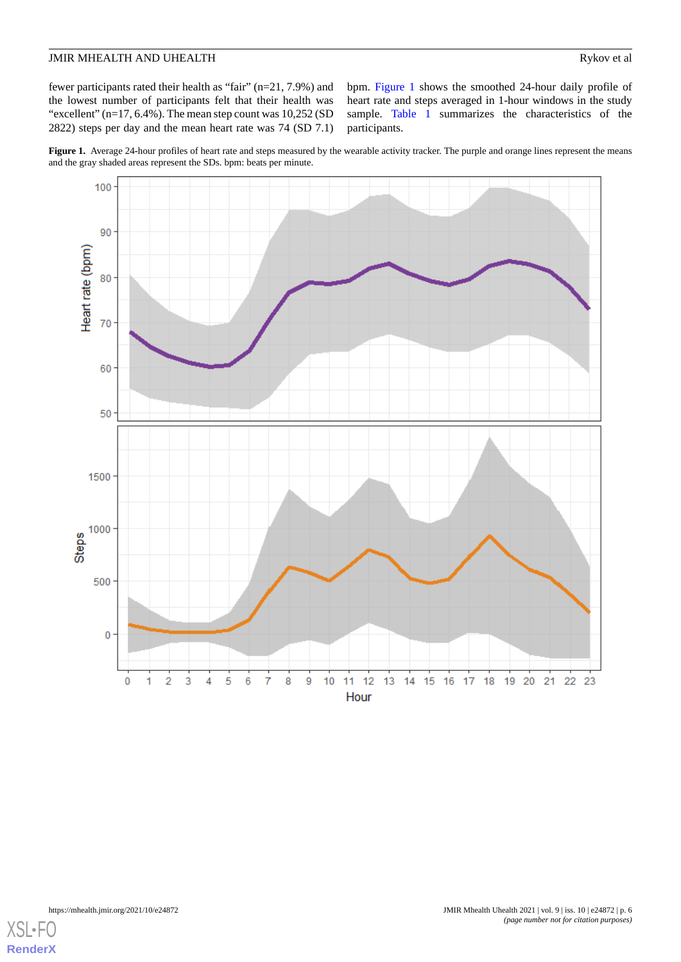fewer participants rated their health as "fair" (n=21, 7.9%) and the lowest number of participants felt that their health was "excellent"  $(n=17, 6.4\%)$ . The mean step count was  $10,252$  (SD) 2822) steps per day and the mean heart rate was 74 (SD 7.1)

bpm. [Figure 1](#page-5-0) shows the smoothed 24-hour daily profile of heart rate and steps averaged in 1-hour windows in the study sample. [Table 1](#page-6-0) summarizes the characteristics of the participants.

<span id="page-5-0"></span>Figure 1. Average 24-hour profiles of heart rate and steps measured by the wearable activity tracker. The purple and orange lines represent the means and the gray shaded areas represent the SDs. bpm: beats per minute.



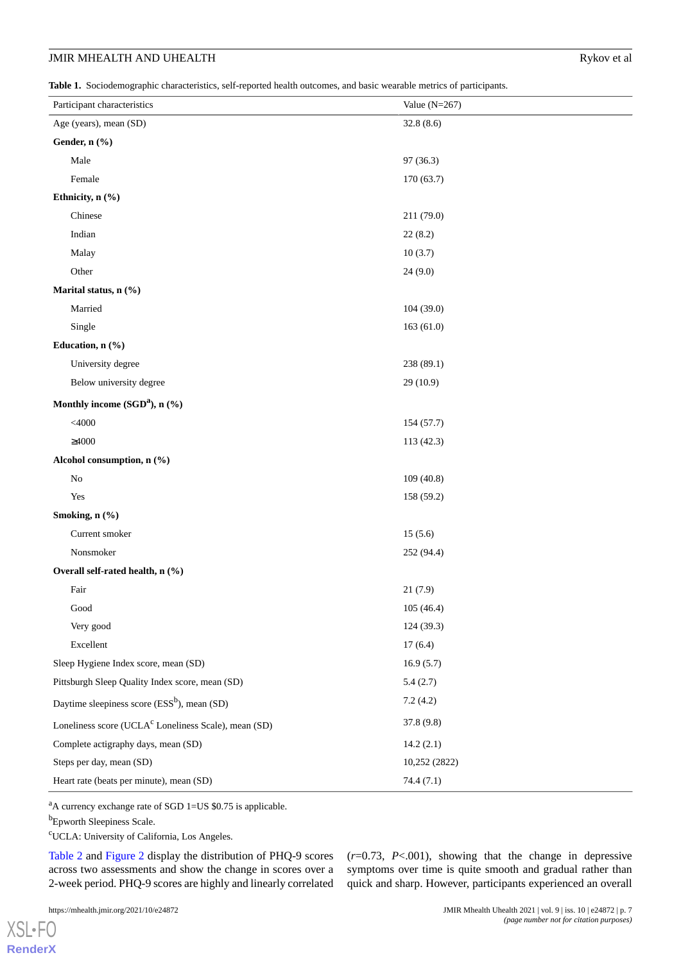<span id="page-6-0"></span>**Table 1.** Sociodemographic characteristics, self-reported health outcomes, and basic wearable metrics of participants.

| Participant characteristics                                      | Value $(N=267)$ |
|------------------------------------------------------------------|-----------------|
| Age (years), mean (SD)                                           | 32.8(8.6)       |
| Gender, n (%)                                                    |                 |
| Male                                                             | 97(36.3)        |
| Female                                                           | 170(63.7)       |
| Ethnicity, n (%)                                                 |                 |
| Chinese                                                          | 211 (79.0)      |
| Indian                                                           | 22(8.2)         |
| Malay                                                            | 10(3.7)         |
| Other                                                            | 24(9.0)         |
| Marital status, n (%)                                            |                 |
| Married                                                          | 104 (39.0)      |
| Single                                                           | 163(61.0)       |
| Education, n (%)                                                 |                 |
| University degree                                                | 238 (89.1)      |
| Below university degree                                          | 29 (10.9)       |
| Monthly income (SGD <sup>a</sup> ), n (%)                        |                 |
| $<$ 4000                                                         | 154 (57.7)      |
| $\geq 4000$                                                      | 113 (42.3)      |
| Alcohol consumption, n (%)                                       |                 |
| $\rm No$                                                         | 109(40.8)       |
| Yes                                                              | 158 (59.2)      |
| Smoking, n (%)                                                   |                 |
| Current smoker                                                   | 15(5.6)         |
| Nonsmoker                                                        | 252 (94.4)      |
| Overall self-rated health, n (%)                                 |                 |
| Fair                                                             | 21(7.9)         |
| Good                                                             | 105 (46.4)      |
| Very good                                                        | 124(39.3)       |
| Excellent                                                        | 17(6.4)         |
| Sleep Hygiene Index score, mean (SD)                             | 16.9(5.7)       |
| Pittsburgh Sleep Quality Index score, mean (SD)                  | 5.4(2.7)        |
| Daytime sleepiness score $(ESS^b)$ , mean $(SD)$                 | 7.2(4.2)        |
| Loneliness score (UCLA <sup>c</sup> Loneliness Scale), mean (SD) | 37.8 (9.8)      |
| Complete actigraphy days, mean (SD)                              | 14.2(2.1)       |
| Steps per day, mean (SD)                                         | 10,252 (2822)   |
| Heart rate (beats per minute), mean (SD)                         | 74.4 (7.1)      |

<sup>a</sup>A currency exchange rate of SGD 1=US \$0.75 is applicable.

<sup>b</sup>Epworth Sleepiness Scale.

<sup>c</sup>UCLA: University of California, Los Angeles.

[Table 2](#page-7-0) and [Figure 2](#page-7-1) display the distribution of PHQ-9 scores across two assessments and show the change in scores over a 2-week period. PHQ-9 scores are highly and linearly correlated

[XSL](http://www.w3.org/Style/XSL)•FO **[RenderX](http://www.renderx.com/)**

 $(r=0.73, P<.001)$ , showing that the change in depressive symptoms over time is quite smooth and gradual rather than quick and sharp. However, participants experienced an overall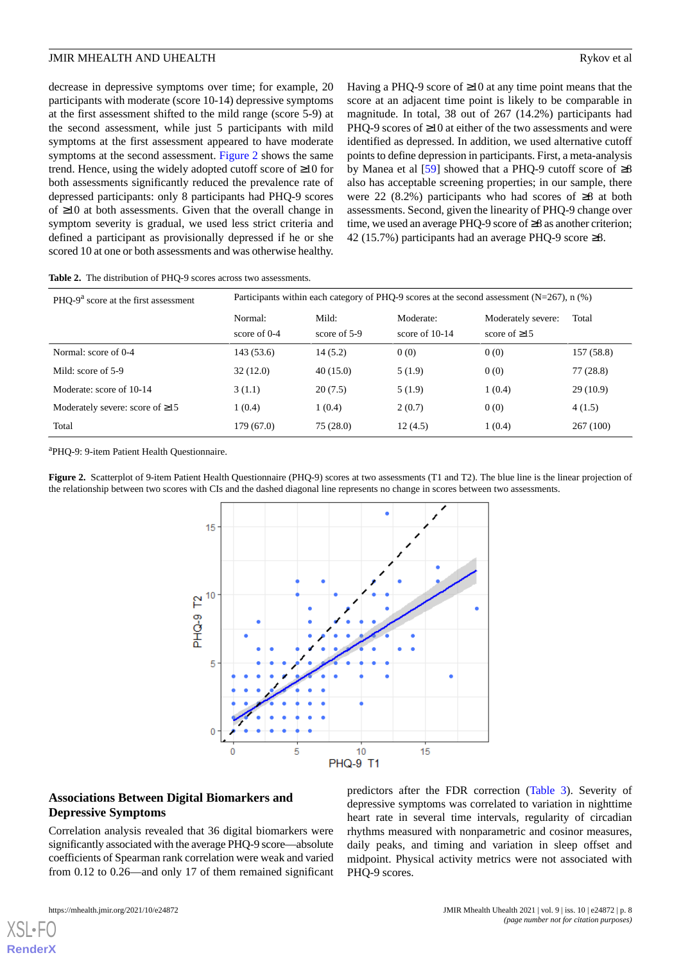decrease in depressive symptoms over time; for example, 20 participants with moderate (score 10-14) depressive symptoms at the first assessment shifted to the mild range (score 5-9) at the second assessment, while just 5 participants with mild symptoms at the first assessment appeared to have moderate symptoms at the second assessment. [Figure 2](#page-7-1) shows the same trend. Hence, using the widely adopted cutoff score of ≥10 for both assessments significantly reduced the prevalence rate of depressed participants: only 8 participants had PHQ-9 scores of ≥10 at both assessments. Given that the overall change in symptom severity is gradual, we used less strict criteria and defined a participant as provisionally depressed if he or she scored 10 at one or both assessments and was otherwise healthy.

Having a PHQ-9 score of  $\geq 10$  at any time point means that the score at an adjacent time point is likely to be comparable in magnitude. In total, 38 out of 267 (14.2%) participants had PHQ-9 scores of ≥10 at either of the two assessments and were identified as depressed. In addition, we used alternative cutoff points to define depression in participants. First, a meta-analysis by Manea et al  $[59]$  $[59]$  showed that a PHQ-9 cutoff score of  $\geq 8$ also has acceptable screening properties; in our sample, there were 22 (8.2%) participants who had scores of ≥8 at both assessments. Second, given the linearity of PHQ-9 change over time, we used an average PHQ-9 score of ≥8 as another criterion; 42 (15.7%) participants had an average PHQ-9 score ≥8.

<span id="page-7-0"></span>

| <b>Table 2.</b> The distribution of PHQ-9 scores across two assessments. |  |
|--------------------------------------------------------------------------|--|
|--------------------------------------------------------------------------|--|

| PHO-9 <sup>a</sup> score at the first assessment | Participants within each category of PHQ-9 scores at the second assessment ( $N=267$ ), n (%) |                       |                               |                                          |            |  |  |
|--------------------------------------------------|-----------------------------------------------------------------------------------------------|-----------------------|-------------------------------|------------------------------------------|------------|--|--|
|                                                  | Normal:<br>score of $0-4$                                                                     | Mild:<br>score of 5-9 | Moderate:<br>score of $10-14$ | Moderately severe:<br>score of $\geq$ 15 | Total      |  |  |
| Normal: score of 0-4                             | 143(53.6)                                                                                     | 14(5.2)               | 0(0)                          | 0(0)                                     | 157 (58.8) |  |  |
| Mild: score of 5-9                               | 32(12.0)                                                                                      | 40(15.0)              | 5(1.9)                        | 0(0)                                     | 77(28.8)   |  |  |
| Moderate: score of 10-14                         | 3(1.1)                                                                                        | 20(7.5)               | 5(1.9)                        | 1(0.4)                                   | 29(10.9)   |  |  |
| Moderately severe: score of $\geq 15$            | 1(0.4)                                                                                        | 1(0.4)                | 2(0.7)                        | 0(0)                                     | 4(1.5)     |  |  |
| Total                                            | 179(67.0)                                                                                     | 75(28.0)              | 12(4.5)                       | 1(0.4)                                   | 267(100)   |  |  |

<span id="page-7-1"></span><sup>a</sup>PHQ-9: 9-item Patient Health Questionnaire.

**Figure 2.** Scatterplot of 9-item Patient Health Questionnaire (PHQ-9) scores at two assessments (T1 and T2). The blue line is the linear projection of the relationship between two scores with CIs and the dashed diagonal line represents no change in scores between two assessments.



# **Associations Between Digital Biomarkers and Depressive Symptoms**

Correlation analysis revealed that 36 digital biomarkers were significantly associated with the average PHQ-9 score—absolute coefficients of Spearman rank correlation were weak and varied from 0.12 to 0.26—and only 17 of them remained significant

[XSL](http://www.w3.org/Style/XSL)•FO **[RenderX](http://www.renderx.com/)**

predictors after the FDR correction [\(Table 3](#page-8-0)). Severity of depressive symptoms was correlated to variation in nighttime heart rate in several time intervals, regularity of circadian rhythms measured with nonparametric and cosinor measures, daily peaks, and timing and variation in sleep offset and midpoint. Physical activity metrics were not associated with PHQ-9 scores.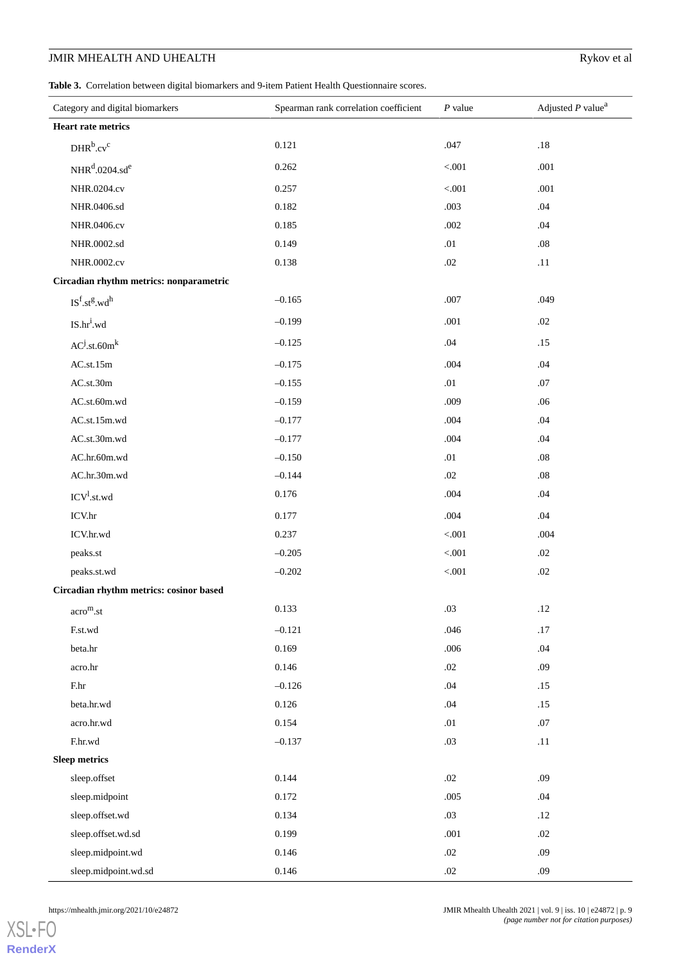<span id="page-8-0"></span>**Table 3.** Correlation between digital biomarkers and 9-item Patient Health Questionnaire scores.

| Category and digital biomarkers           | Spearman rank correlation coefficient | $P$ value | Adjusted $P$ value <sup>a</sup> |
|-------------------------------------------|---------------------------------------|-----------|---------------------------------|
| <b>Heart rate metrics</b>                 |                                       |           |                                 |
| $DHR^b.cv^c$                              | 0.121                                 | .047      | $.18\,$                         |
| NHR <sup>d</sup> .0204.sd <sup>e</sup>    | 0.262                                 | < 0.001   | .001                            |
| NHR.0204.cv                               | 0.257                                 | < .001    | .001                            |
| NHR.0406.sd                               | 0.182                                 | .003      | .04                             |
| NHR.0406.cv                               | 0.185                                 | .002      | .04                             |
| NHR.0002.sd                               | 0.149                                 | .01       | .08                             |
| NHR.0002.cv                               | 0.138                                 | $.02\,$   | .11                             |
| Circadian rhythm metrics: nonparametric   |                                       |           |                                 |
| $IS^f.st^g.wd^h$                          | $-0.165$                              | .007      | .049                            |
| $IS.hr^i.wd$                              | $-0.199$                              | .001      | .02                             |
| $AC^{j}.st.60m^{k}$                       | $-0.125$                              | .04       | .15                             |
| AC.st.15m                                 | $-0.175$                              | .004      | .04                             |
| AC.st.30m                                 | $-0.155$                              | .01       | .07                             |
| AC.st.60m.wd                              | $-0.159$                              | .009      | .06                             |
| AC.st.15m.wd                              | $-0.177$                              | .004      | .04                             |
| AC.st.30m.wd                              | $-0.177$                              | .004      | .04                             |
| AC.hr.60m.wd                              | $-0.150$                              | .01       | .08                             |
| AC.hr.30m.wd                              | $-0.144$                              | .02       | .08                             |
| ICV <sup>1</sup> .st.wd                   | 0.176                                 | .004      | .04                             |
| ICV.hr                                    | 0.177                                 | .004      | .04                             |
| ICV.hr.wd                                 | 0.237                                 | < 0.001   | .004                            |
| peaks.st                                  | $-0.205$                              | < 0.001   | .02                             |
| peaks.st.wd                               | $-0.202$                              | < .001    | .02                             |
| Circadian rhythm metrics: cosinor based   |                                       |           |                                 |
| $\mathrm{accro}^{\mathrm{m}}.\mathrm{st}$ | 0.133                                 | $.03\,$   | .12                             |
| F.st.wd                                   | $-0.121$                              | .046      | $.17\,$                         |
| beta.hr                                   | 0.169                                 | .006      | .04                             |
| acro.hr                                   | 0.146                                 | $.02\,$   | .09                             |
| F.hr                                      | $-0.126$                              | .04       | .15                             |
| beta.hr.wd                                | 0.126                                 | .04       | .15                             |
| acro.hr.wd                                | 0.154                                 | .01       | .07                             |
| F.hr.wd                                   | $-0.137$                              | .03       | .11                             |
| Sleep metrics                             |                                       |           |                                 |
| sleep.offset                              | 0.144                                 | .02       | .09                             |
| sleep.midpoint                            | 0.172                                 | .005      | .04                             |
| sleep.offset.wd                           | 0.134                                 | .03       | .12                             |
| sleep.offset.wd.sd                        | 0.199                                 | $.001$    | .02                             |
| sleep.midpoint.wd                         | 0.146                                 | $.02\,$   | .09                             |
| sleep.midpoint.wd.sd                      | 0.146                                 | $.02\,$   | .09                             |

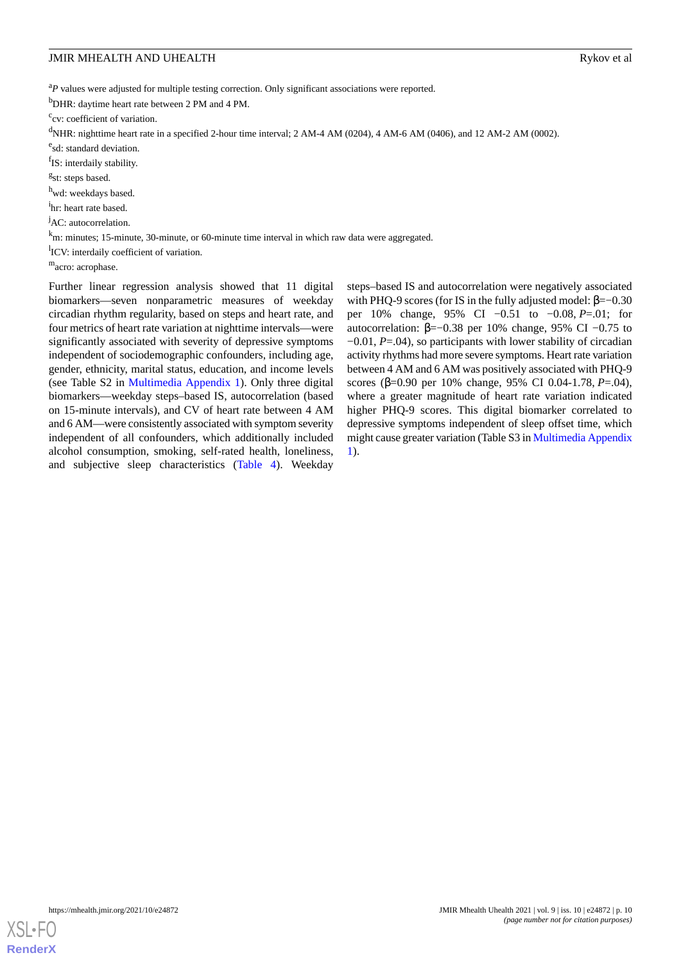<sup>a</sup>P values were adjusted for multiple testing correction. Only significant associations were reported.

<sup>b</sup>DHR: daytime heart rate between 2 PM and 4 PM.

<sup>c</sup>cv: coefficient of variation.

<sup>d</sup>NHR: nighttime heart rate in a specified 2-hour time interval; 2 AM-4 AM (0204), 4 AM-6 AM (0406), and 12 AM-2 AM (0002).

e<sub>sd: standard deviation.</sub>

f<sub>IS</sub>: interdaily stability.

<sup>g</sup>st: steps based.

<sup>h</sup>wd: weekdays based.

<sup>i</sup>hr: heart rate based.

<sup>j</sup>AC: autocorrelation.

<sup>k</sup>m: minutes; 15-minute, 30-minute, or 60-minute time interval in which raw data were aggregated.

<sup>1</sup>ICV: interdaily coefficient of variation.

m<sub>acro: acrophase.</sub>

Further linear regression analysis showed that 11 digital biomarkers—seven nonparametric measures of weekday circadian rhythm regularity, based on steps and heart rate, and four metrics of heart rate variation at nighttime intervals—were significantly associated with severity of depressive symptoms independent of sociodemographic confounders, including age, gender, ethnicity, marital status, education, and income levels (see Table S2 in [Multimedia Appendix 1](#page-19-5)). Only three digital biomarkers—weekday steps–based IS, autocorrelation (based on 15-minute intervals), and CV of heart rate between 4 AM and 6 AM—were consistently associated with symptom severity independent of all confounders, which additionally included alcohol consumption, smoking, self-rated health, loneliness, and subjective sleep characteristics [\(Table 4\)](#page-10-0). Weekday

steps–based IS and autocorrelation were negatively associated with PHQ-9 scores (for IS in the fully adjusted model:  $\beta = -0.30$ per 10% change, 95% CI −0.51 to −0.08, *P*=.01; for autocorrelation: β=−0.38 per 10% change, 95% CI −0.75 to −0.01, *P*=.04), so participants with lower stability of circadian activity rhythms had more severe symptoms. Heart rate variation between 4 AM and 6 AM was positively associated with PHQ-9 scores (β=0.90 per 10% change, 95% CI 0.04-1.78, *P*=.04), where a greater magnitude of heart rate variation indicated higher PHQ-9 scores. This digital biomarker correlated to depressive symptoms independent of sleep offset time, which might cause greater variation (Table S3 in [Multimedia Appendix](#page-19-5) [1\)](#page-19-5).

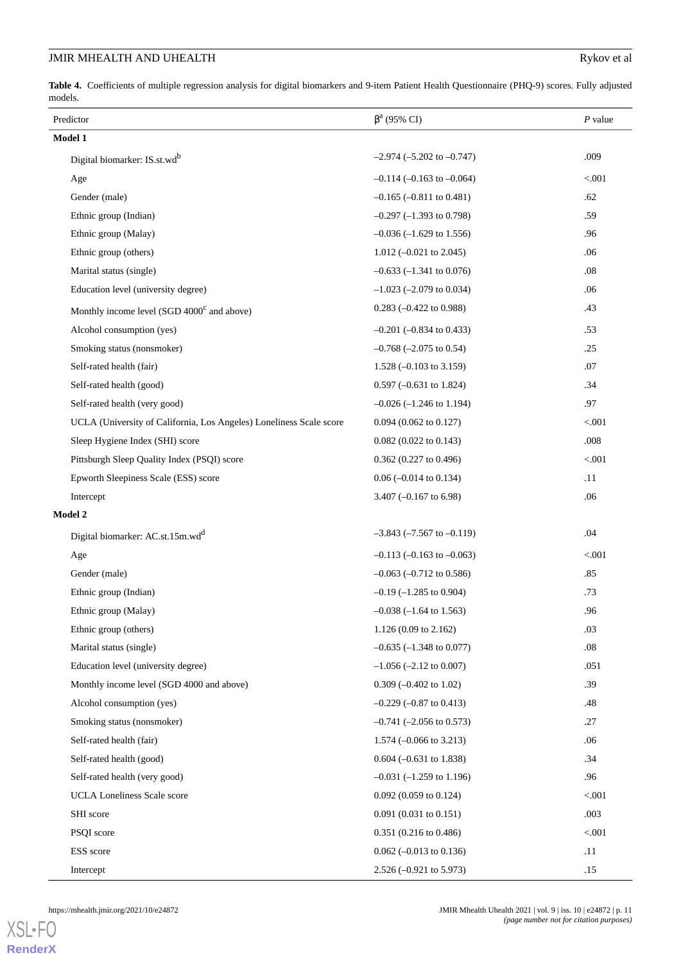<span id="page-10-0"></span>**Table 4.** Coefficients of multiple regression analysis for digital biomarkers and 9-item Patient Health Questionnaire (PHQ-9) scores. Fully adjusted models.

| Predictor                                                           | $\beta^a$ (95% CI)                 | $P$ value |
|---------------------------------------------------------------------|------------------------------------|-----------|
| Model 1                                                             |                                    |           |
| Digital biomarker: IS.st.wdb                                        | $-2.974$ ( $-5.202$ to $-0.747$ )  | .009      |
| Age                                                                 | $-0.114$ ( $-0.163$ to $-0.064$ )  | < 0.001   |
| Gender (male)                                                       | $-0.165$ ( $-0.811$ to 0.481)      | .62       |
| Ethnic group (Indian)                                               | $-0.297$ ( $-1.393$ to 0.798)      | .59       |
| Ethnic group (Malay)                                                | $-0.036$ ( $-1.629$ to 1.556)      | .96       |
| Ethnic group (others)                                               | 1.012 $(-0.021$ to 2.045)          | .06       |
| Marital status (single)                                             | $-0.633$ ( $-1.341$ to 0.076)      | $.08\,$   |
| Education level (university degree)                                 | $-1.023$ ( $-2.079$ to 0.034)      | .06       |
| Monthly income level (SGD 4000 <sup>c</sup> and above)              | $0.283$ (-0.422 to 0.988)          | .43       |
| Alcohol consumption (yes)                                           | $-0.201$ ( $-0.834$ to 0.433)      | .53       |
| Smoking status (nonsmoker)                                          | $-0.768$ $(-2.075$ to 0.54)        | .25       |
| Self-rated health (fair)                                            | 1.528 $(-0.103 \text{ to } 3.159)$ | .07       |
| Self-rated health (good)                                            | $0.597 (-0.631 \text{ to } 1.824)$ | .34       |
| Self-rated health (very good)                                       | $-0.026$ ( $-1.246$ to 1.194)      | .97       |
| UCLA (University of California, Los Angeles) Loneliness Scale score | $0.094$ (0.062 to 0.127)           | < 0.001   |
| Sleep Hygiene Index (SHI) score                                     | $0.082$ (0.022 to 0.143)           | .008      |
| Pittsburgh Sleep Quality Index (PSQI) score                         | 0.362 (0.227 to 0.496)             | < 0.001   |
| Epworth Sleepiness Scale (ESS) score                                | $0.06$ (-0.014 to 0.134)           | .11       |
| Intercept                                                           | 3.407 ( $-0.167$ to 6.98)          | .06       |
| Model 2                                                             |                                    |           |
| Digital biomarker: AC.st.15m.wdd                                    | $-3.843$ ( $-7.567$ to $-0.119$ )  | .04       |
| Age                                                                 | $-0.113$ ( $-0.163$ to $-0.063$ )  | $< 001$   |
| Gender (male)                                                       | $-0.063$ $(-0.712$ to 0.586)       | .85       |
| Ethnic group (Indian)                                               | $-0.19$ ( $-1.285$ to 0.904)       | .73       |
| Ethnic group (Malay)                                                | $-0.038$ ( $-1.64$ to 1.563)       | .96       |
| Ethnic group (others)                                               | $1.126(0.09 \text{ to } 2.162)$    | .03       |
| Marital status (single)                                             | $-0.635$ ( $-1.348$ to 0.077)      | $.08\,$   |
| Education level (university degree)                                 | $-1.056$ ( $-2.12$ to 0.007)       | .051      |
| Monthly income level (SGD 4000 and above)                           | $0.309 (-0.402 \text{ to } 1.02)$  | .39       |
| Alcohol consumption (yes)                                           | $-0.229$ $(-0.87$ to 0.413)        | .48       |
| Smoking status (nonsmoker)                                          | $-0.741$ $(-2.056$ to 0.573)       | .27       |
| Self-rated health (fair)                                            | 1.574 $(-0.066$ to 3.213)          | .06       |
| Self-rated health (good)                                            | $0.604 (-0.631 \text{ to } 1.838)$ | .34       |
| Self-rated health (very good)                                       | $-0.031$ (-1.259 to 1.196)         | .96       |
| <b>UCLA Loneliness Scale score</b>                                  | $0.092$ (0.059 to 0.124)           | < 0.001   |
| SHI score                                                           | $0.091$ (0.031 to 0.151)           | .003      |
| PSQI score                                                          | 0.351 (0.216 to 0.486)             | $< 001$   |
| ESS score                                                           | $0.062 (-0.013 \text{ to } 0.136)$ | .11       |
| Intercept                                                           | $2.526 (-0.921$ to 5.973)          | .15       |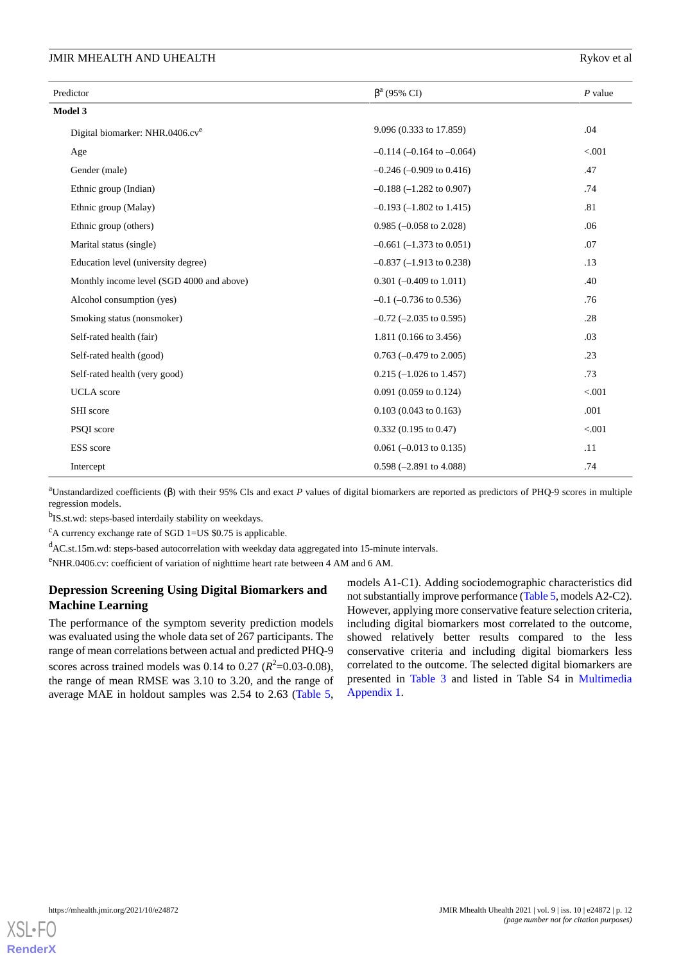# JMIR MHEALTH AND UHEALTH

| Rykov et al |  |  |  |  |
|-------------|--|--|--|--|
|-------------|--|--|--|--|

| Predictor                                   | $\beta^a$ (95% CI)                 | $P$ value |
|---------------------------------------------|------------------------------------|-----------|
| Model 3                                     |                                    |           |
| Digital biomarker: NHR.0406.cv <sup>e</sup> | 9.096 (0.333 to 17.859)            | .04       |
| Age                                         | $-0.114$ ( $-0.164$ to $-0.064$ )  | < .001    |
| Gender (male)                               | $-0.246$ $(-0.909$ to $0.416$ )    | .47       |
| Ethnic group (Indian)                       | $-0.188$ $(-1.282$ to 0.907)       | .74       |
| Ethnic group (Malay)                        | $-0.193 (-1.802$ to 1.415)         | .81       |
| Ethnic group (others)                       | $0.985 (-0.058$ to 2.028)          | .06       |
| Marital status (single)                     | $-0.661$ ( $-1.373$ to 0.051)      | .07       |
| Education level (university degree)         | $-0.837$ $(-1.913$ to 0.238)       | .13       |
| Monthly income level (SGD 4000 and above)   | $0.301 (-0.409 \text{ to } 1.011)$ | .40       |
| Alcohol consumption (yes)                   | $-0.1$ ( $-0.736$ to 0.536)        | .76       |
| Smoking status (nonsmoker)                  | $-0.72$ ( $-2.035$ to 0.595)       | .28       |
| Self-rated health (fair)                    | 1.811 (0.166 to 3.456)             | .03       |
| Self-rated health (good)                    | $0.763$ (-0.479 to 2.005)          | .23       |
| Self-rated health (very good)               | $0.215$ (-1.026 to 1.457)          | .73       |
| <b>UCLA</b> score                           | 0.091 (0.059 to 0.124)             | < .001    |
| SHI score                                   | $0.103$ (0.043 to 0.163)           | .001      |
| PSQI score                                  | $0.332$ (0.195 to 0.47)            | < .001    |
| ESS score                                   | $0.061$ (-0.013 to 0.135)          | .11       |
| Intercept                                   | $0.598 (-2.891 \text{ to } 4.088)$ | .74       |

<sup>a</sup>Unstandardized coefficients (β) with their 95% CIs and exact *P* values of digital biomarkers are reported as predictors of PHQ-9 scores in multiple regression models.

<sup>b</sup>IS.st.wd: steps-based interdaily stability on weekdays.

 $c$ A currency exchange rate of SGD 1=US \$0.75 is applicable.

<sup>d</sup>AC.st.15m.wd: steps-based autocorrelation with weekday data aggregated into 15-minute intervals.

<sup>e</sup>NHR.0406.cv: coefficient of variation of nighttime heart rate between 4 AM and 6 AM.

# **Depression Screening Using Digital Biomarkers and Machine Learning**

The performance of the symptom severity prediction models was evaluated using the whole data set of 267 participants. The range of mean correlations between actual and predicted PHQ-9 scores across trained models was  $0.14$  to  $0.27$  ( $R^2$ =0.03-0.08), the range of mean RMSE was 3.10 to 3.20, and the range of average MAE in holdout samples was 2.54 to 2.63 ([Table 5](#page-12-0),

models A1-C1). Adding sociodemographic characteristics did not substantially improve performance ([Table 5,](#page-12-0) models A2-C2). However, applying more conservative feature selection criteria, including digital biomarkers most correlated to the outcome, showed relatively better results compared to the less conservative criteria and including digital biomarkers less correlated to the outcome. The selected digital biomarkers are presented in [Table 3](#page-8-0) and listed in Table S4 in [Multimedia](#page-19-5) [Appendix 1.](#page-19-5)

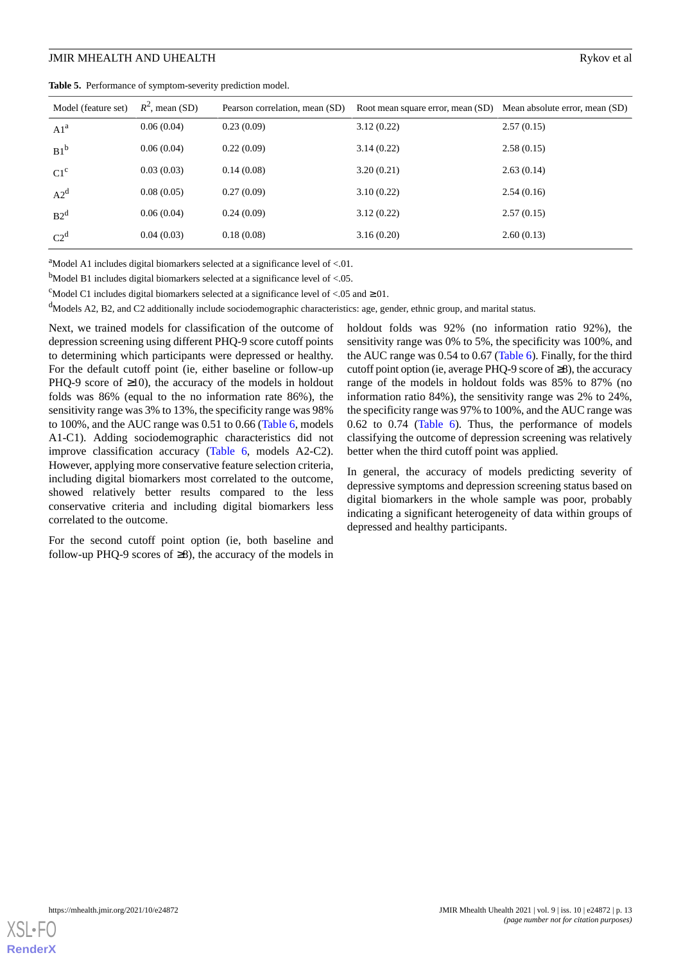<span id="page-12-0"></span>

|  |  | Table 5. Performance of symptom-severity prediction model. |  |
|--|--|------------------------------------------------------------|--|
|--|--|------------------------------------------------------------|--|

| Model (feature set) | $R^2$ , mean (SD) | Pearson correlation, mean (SD) | Root mean square error, mean (SD) | Mean absolute error, mean (SD) |
|---------------------|-------------------|--------------------------------|-----------------------------------|--------------------------------|
| A1 <sup>a</sup>     | 0.06(0.04)        | 0.23(0.09)                     | 3.12(0.22)                        | 2.57(0.15)                     |
| $B1^b$              | 0.06(0.04)        | 0.22(0.09)                     | 3.14(0.22)                        | 2.58(0.15)                     |
| $C1^c$              | 0.03(0.03)        | 0.14(0.08)                     | 3.20(0.21)                        | 2.63(0.14)                     |
| $A2^d$              | 0.08(0.05)        | 0.27(0.09)                     | 3.10(0.22)                        | 2.54(0.16)                     |
| B2 <sup>d</sup>     | 0.06(0.04)        | 0.24(0.09)                     | 3.12(0.22)                        | 2.57(0.15)                     |
| $C2^d$              | 0.04(0.03)        | 0.18(0.08)                     | 3.16(0.20)                        | 2.60(0.13)                     |

 $a<sup>a</sup>$ Model A1 includes digital biomarkers selected at a significance level of <.01.

 $<sup>b</sup>$ Model B1 includes digital biomarkers selected at a significance level of <.05.</sup>

<sup>c</sup>Model C1 includes digital biomarkers selected at a significance level of <.05 and  $\ge$ .01.

<sup>d</sup>Models A2, B2, and C2 additionally include sociodemographic characteristics: age, gender, ethnic group, and marital status.

Next, we trained models for classification of the outcome of depression screening using different PHQ-9 score cutoff points to determining which participants were depressed or healthy. For the default cutoff point (ie, either baseline or follow-up PHQ-9 score of  $\geq$ 10), the accuracy of the models in holdout folds was 86% (equal to the no information rate 86%), the sensitivity range was 3% to 13%, the specificity range was 98% to 100%, and the AUC range was 0.51 to 0.66 ([Table 6](#page-13-0), models A1-C1). Adding sociodemographic characteristics did not improve classification accuracy ([Table 6](#page-13-0), models A2-C2). However, applying more conservative feature selection criteria, including digital biomarkers most correlated to the outcome, showed relatively better results compared to the less conservative criteria and including digital biomarkers less correlated to the outcome.

For the second cutoff point option (ie, both baseline and follow-up PHQ-9 scores of  $\geq 8$ ), the accuracy of the models in

holdout folds was 92% (no information ratio 92%), the sensitivity range was 0% to 5%, the specificity was 100%, and the AUC range was 0.54 to 0.67 ([Table 6](#page-13-0)). Finally, for the third cutoff point option (ie, average PHQ-9 score of  $\geq 8$ ), the accuracy range of the models in holdout folds was 85% to 87% (no information ratio 84%), the sensitivity range was 2% to 24%, the specificity range was 97% to 100%, and the AUC range was 0.62 to 0.74 ([Table 6\)](#page-13-0). Thus, the performance of models classifying the outcome of depression screening was relatively better when the third cutoff point was applied.

In general, the accuracy of models predicting severity of depressive symptoms and depression screening status based on digital biomarkers in the whole sample was poor, probably indicating a significant heterogeneity of data within groups of depressed and healthy participants.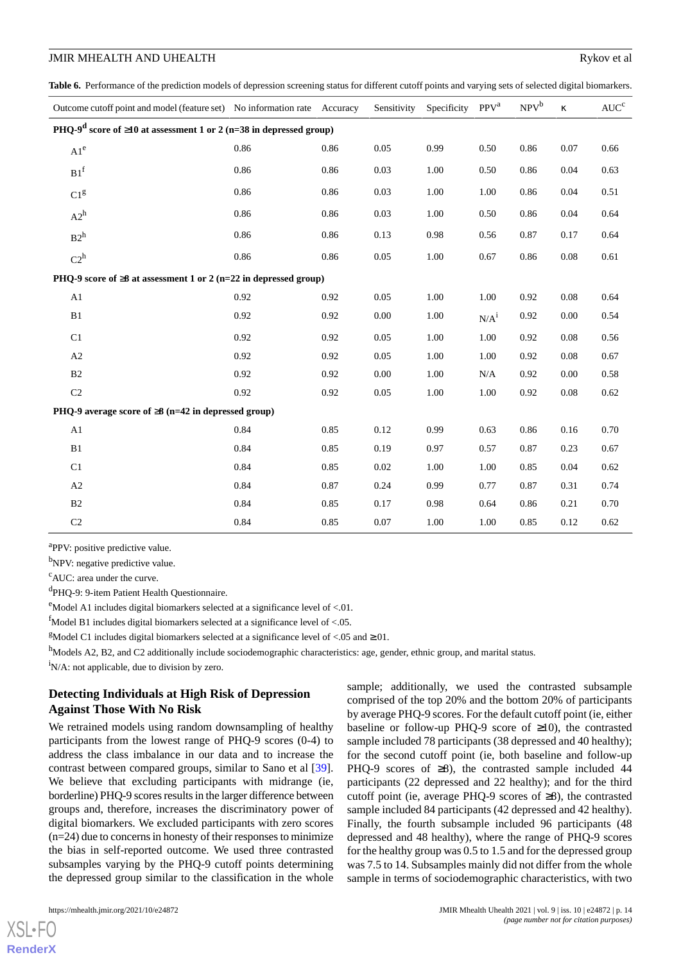<span id="page-13-0"></span>Table 6. Performance of the prediction models of depression screening status for different cutoff points and varying sets of selected digital biomarkers.

| Outcome cutoff point and model (feature set) No information rate Accuracy            |      |      | Sensitivity | Specificity | PPV <sup>a</sup> | $NPV^b$ | $\kappa$ | $AUC^c$ |
|--------------------------------------------------------------------------------------|------|------|-------------|-------------|------------------|---------|----------|---------|
| PHQ-9 <sup>d</sup> score of $\geq$ 10 at assessment 1 or 2 (n=38 in depressed group) |      |      |             |             |                  |         |          |         |
| A1 <sup>e</sup>                                                                      | 0.86 | 0.86 | 0.05        | 0.99        | 0.50             | 0.86    | 0.07     | 0.66    |
| B1 <sup>f</sup>                                                                      | 0.86 | 0.86 | 0.03        | 1.00        | 0.50             | 0.86    | 0.04     | 0.63    |
| C1 <sup>g</sup>                                                                      | 0.86 | 0.86 | 0.03        | 1.00        | 1.00             | 0.86    | 0.04     | 0.51    |
| $A2^h$                                                                               | 0.86 | 0.86 | 0.03        | 1.00        | 0.50             | 0.86    | 0.04     | 0.64    |
| $B2^h$                                                                               | 0.86 | 0.86 | 0.13        | 0.98        | 0.56             | 0.87    | 0.17     | 0.64    |
| $C2^h$                                                                               | 0.86 | 0.86 | 0.05        | 1.00        | 0.67             | 0.86    | 0.08     | 0.61    |
| PHQ-9 score of $\geq$ 8 at assessment 1 or 2 (n=22 in depressed group)               |      |      |             |             |                  |         |          |         |
| A1                                                                                   | 0.92 | 0.92 | 0.05        | $1.00\,$    | $1.00\,$         | 0.92    | 0.08     | 0.64    |
| B1                                                                                   | 0.92 | 0.92 | $0.00\,$    | 1.00        | $N/A^i$          | 0.92    | 0.00     | 0.54    |
| C1                                                                                   | 0.92 | 0.92 | 0.05        | $1.00\,$    | $1.00\,$         | 0.92    | 0.08     | 0.56    |
| A2                                                                                   | 0.92 | 0.92 | 0.05        | 1.00        | 1.00             | 0.92    | 0.08     | 0.67    |
| B2                                                                                   | 0.92 | 0.92 | 0.00        | 1.00        | N/A              | 0.92    | 0.00     | 0.58    |
| $\rm C2$                                                                             | 0.92 | 0.92 | 0.05        | $1.00\,$    | 1.00             | 0.92    | 0.08     | 0.62    |
| PHQ-9 average score of $\geq 8$ (n=42 in depressed group)                            |      |      |             |             |                  |         |          |         |
| A1                                                                                   | 0.84 | 0.85 | 0.12        | 0.99        | 0.63             | 0.86    | 0.16     | 0.70    |
| B1                                                                                   | 0.84 | 0.85 | 0.19        | 0.97        | 0.57             | 0.87    | 0.23     | 0.67    |
| C1                                                                                   | 0.84 | 0.85 | 0.02        | 1.00        | 1.00             | 0.85    | 0.04     | 0.62    |
| A2                                                                                   | 0.84 | 0.87 | 0.24        | 0.99        | 0.77             | 0.87    | 0.31     | 0.74    |
| B <sub>2</sub>                                                                       | 0.84 | 0.85 | 0.17        | 0.98        | 0.64             | 0.86    | 0.21     | 0.70    |
| C <sub>2</sub>                                                                       | 0.84 | 0.85 | 0.07        | 1.00        | 1.00             | 0.85    | 0.12     | 0.62    |

<sup>a</sup>PPV: positive predictive value.

<sup>b</sup>NPV: negative predictive value.

<sup>c</sup>AUC: area under the curve.

<sup>d</sup>PHQ-9: 9-item Patient Health Questionnaire.

 $e^{e}$ Model A1 includes digital biomarkers selected at a significance level of <.01.

 $<sup>f</sup>$ Model B1 includes digital biomarkers selected at a significance level of <.05.</sup>

<sup>g</sup>Model C1 includes digital biomarkers selected at a significance level of <.05 and  $\ge$ .01.

hModels A2, B2, and C2 additionally include sociodemographic characteristics: age, gender, ethnic group, and marital status.

 $i$ N/A: not applicable, due to division by zero.

# **Detecting Individuals at High Risk of Depression Against Those With No Risk**

We retrained models using random downsampling of healthy participants from the lowest range of PHQ-9 scores (0-4) to address the class imbalance in our data and to increase the contrast between compared groups, similar to Sano et al [[39\]](#page-21-11). We believe that excluding participants with midrange (ie, borderline) PHQ-9 scores results in the larger difference between groups and, therefore, increases the discriminatory power of digital biomarkers. We excluded participants with zero scores  $(n=24)$  due to concerns in honesty of their responses to minimize the bias in self-reported outcome. We used three contrasted subsamples varying by the PHQ-9 cutoff points determining the depressed group similar to the classification in the whole

sample; additionally, we used the contrasted subsample comprised of the top 20% and the bottom 20% of participants by average PHQ-9 scores. For the default cutoff point (ie, either baseline or follow-up PHQ-9 score of  $\geq$ 10), the contrasted sample included 78 participants (38 depressed and 40 healthy); for the second cutoff point (ie, both baseline and follow-up PHQ-9 scores of  $\geq 8$ ), the contrasted sample included 44 participants (22 depressed and 22 healthy); and for the third cutoff point (ie, average PHQ-9 scores of ≥8), the contrasted sample included 84 participants (42 depressed and 42 healthy). Finally, the fourth subsample included 96 participants (48 depressed and 48 healthy), where the range of PHQ-9 scores for the healthy group was 0.5 to 1.5 and for the depressed group was 7.5 to 14. Subsamples mainly did not differ from the whole sample in terms of sociodemographic characteristics, with two

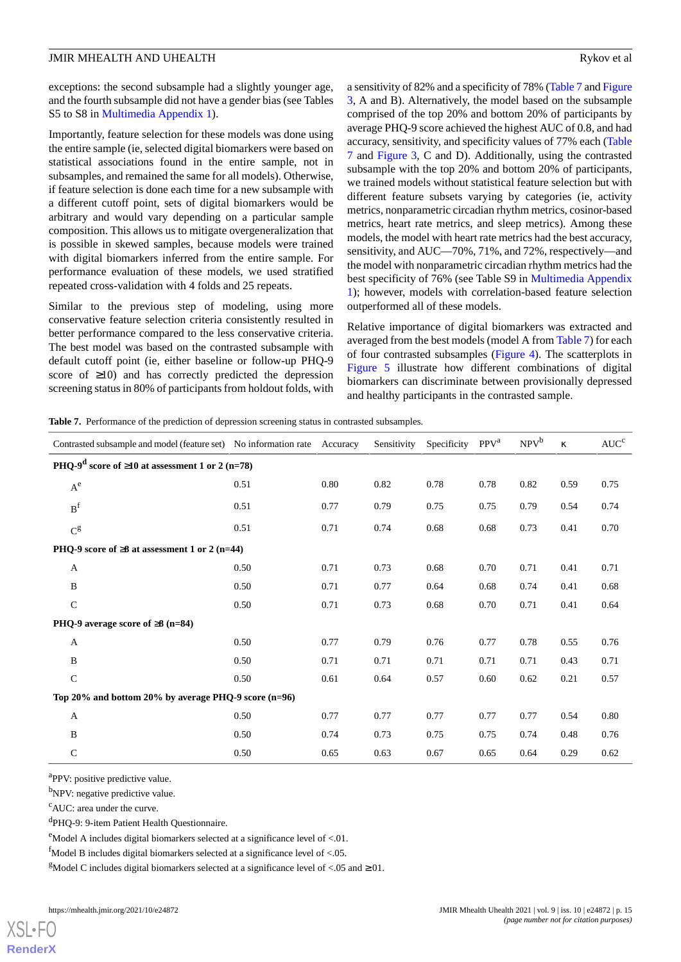exceptions: the second subsample had a slightly younger age, and the fourth subsample did not have a gender bias (see Tables S5 to S8 in [Multimedia Appendix 1](#page-19-5)).

Importantly, feature selection for these models was done using the entire sample (ie, selected digital biomarkers were based on statistical associations found in the entire sample, not in subsamples, and remained the same for all models). Otherwise, if feature selection is done each time for a new subsample with a different cutoff point, sets of digital biomarkers would be arbitrary and would vary depending on a particular sample composition. This allows us to mitigate overgeneralization that is possible in skewed samples, because models were trained with digital biomarkers inferred from the entire sample. For performance evaluation of these models, we used stratified repeated cross-validation with 4 folds and 25 repeats.

Similar to the previous step of modeling, using more conservative feature selection criteria consistently resulted in better performance compared to the less conservative criteria. The best model was based on the contrasted subsample with default cutoff point (ie, either baseline or follow-up PHQ-9 score of  $\geq 10$ ) and has correctly predicted the depression screening status in 80% of participants from holdout folds, with a sensitivity of 82% and a specificity of 78% ([Table 7](#page-14-0) and [Figure](#page-15-0) [3,](#page-15-0) A and B). Alternatively, the model based on the subsample comprised of the top 20% and bottom 20% of participants by average PHQ-9 score achieved the highest AUC of 0.8, and had accuracy, sensitivity, and specificity values of 77% each ([Table](#page-14-0) [7](#page-14-0) and [Figure 3](#page-15-0), C and D). Additionally, using the contrasted subsample with the top 20% and bottom 20% of participants, we trained models without statistical feature selection but with different feature subsets varying by categories (ie, activity metrics, nonparametric circadian rhythm metrics, cosinor-based metrics, heart rate metrics, and sleep metrics). Among these models, the model with heart rate metrics had the best accuracy, sensitivity, and AUC—70%, 71%, and 72%, respectively—and the model with nonparametric circadian rhythm metrics had the best specificity of 76% (see Table S9 in [Multimedia Appendix](#page-19-5) [1\)](#page-19-5); however, models with correlation-based feature selection outperformed all of these models.

Relative importance of digital biomarkers was extracted and averaged from the best models (model A from [Table 7\)](#page-14-0) for each of four contrasted subsamples [\(Figure 4\)](#page-15-1). The scatterplots in [Figure 5](#page-16-0) illustrate how different combinations of digital biomarkers can discriminate between provisionally depressed and healthy participants in the contrasted sample.

<span id="page-14-0"></span>**Table 7.** Performance of the prediction of depression screening status in contrasted subsamples.

| Contrasted subsample and model (feature set) No information rate Accuracy |      |      | Sensitivity | Specificity | PPV <sup>a</sup> | $NPV^b$ | $\kappa$ | AUC <sup>c</sup> |
|---------------------------------------------------------------------------|------|------|-------------|-------------|------------------|---------|----------|------------------|
| PHQ-9 <sup>d</sup> score of $\geq$ 10 at assessment 1 or 2 (n=78)         |      |      |             |             |                  |         |          |                  |
| $\mathrm{A}^\mathrm{e}$                                                   | 0.51 | 0.80 | 0.82        | 0.78        | 0.78             | 0.82    | 0.59     | 0.75             |
| B <sup>f</sup>                                                            | 0.51 | 0.77 | 0.79        | 0.75        | 0.75             | 0.79    | 0.54     | 0.74             |
| $\mathrm{C}^\mathrm{g}$                                                   | 0.51 | 0.71 | 0.74        | 0.68        | 0.68             | 0.73    | 0.41     | 0.70             |
| PHQ-9 score of $\geq$ 8 at assessment 1 or 2 (n=44)                       |      |      |             |             |                  |         |          |                  |
| $\mathbf{A}$                                                              | 0.50 | 0.71 | 0.73        | 0.68        | 0.70             | 0.71    | 0.41     | 0.71             |
| B                                                                         | 0.50 | 0.71 | 0.77        | 0.64        | 0.68             | 0.74    | 0.41     | 0.68             |
| $\mathbf C$                                                               | 0.50 | 0.71 | 0.73        | 0.68        | 0.70             | 0.71    | 0.41     | 0.64             |
| PHQ-9 average score of $\geq 8$ (n=84)                                    |      |      |             |             |                  |         |          |                  |
| A                                                                         | 0.50 | 0.77 | 0.79        | 0.76        | 0.77             | 0.78    | 0.55     | 0.76             |
| B                                                                         | 0.50 | 0.71 | 0.71        | 0.71        | 0.71             | 0.71    | 0.43     | 0.71             |
| $\mathbf C$                                                               | 0.50 | 0.61 | 0.64        | 0.57        | 0.60             | 0.62    | 0.21     | 0.57             |
| Top 20% and bottom 20% by average PHQ-9 score $(n=96)$                    |      |      |             |             |                  |         |          |                  |
| A                                                                         | 0.50 | 0.77 | 0.77        | 0.77        | 0.77             | 0.77    | 0.54     | 0.80             |
| B                                                                         | 0.50 | 0.74 | 0.73        | 0.75        | 0.75             | 0.74    | 0.48     | 0.76             |
| $\mathbf C$                                                               | 0.50 | 0.65 | 0.63        | 0.67        | 0.65             | 0.64    | 0.29     | 0.62             |

<sup>a</sup>PPV: positive predictive value.

<sup>b</sup>NPV: negative predictive value.

<sup>c</sup>AUC: area under the curve.

dPHQ-9: 9-item Patient Health Questionnaire.

 $\text{e}^{\text{e}}$ Model A includes digital biomarkers selected at a significance level of <.01.

 $\frac{f_{\text{Model}}}{g}$  B includes digital biomarkers selected at a significance level of <.05.

<sup>g</sup>Model C includes digital biomarkers selected at a significance level of <.05 and  $\ge$ .01.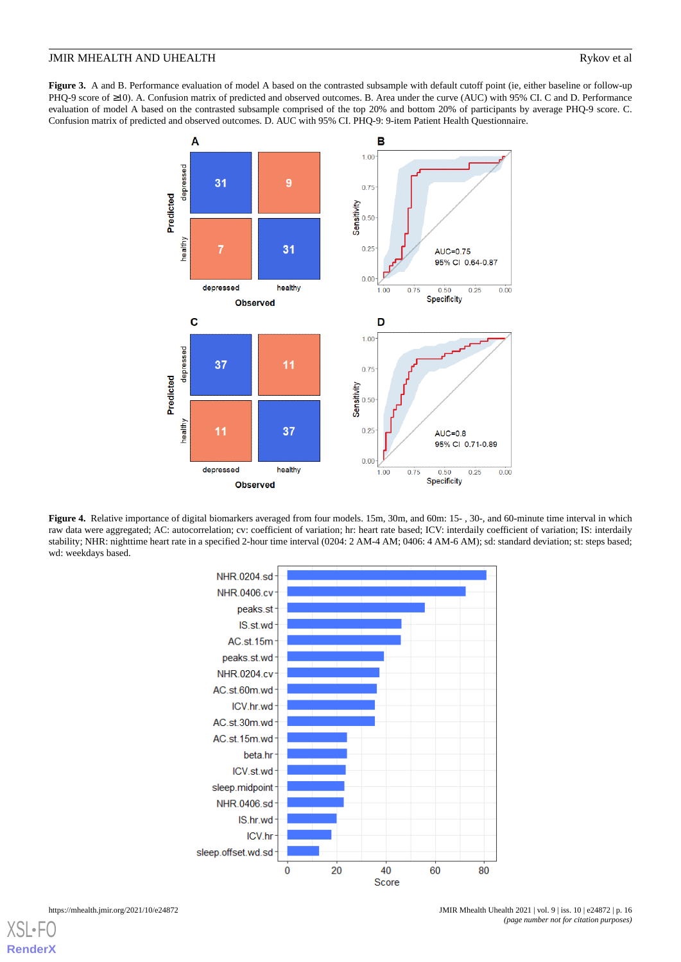<span id="page-15-0"></span>**Figure 3.** A and B. Performance evaluation of model A based on the contrasted subsample with default cutoff point (ie, either baseline or follow-up PHQ-9 score of ≥10). A. Confusion matrix of predicted and observed outcomes. B. Area under the curve (AUC) with 95% CI. C and D. Performance evaluation of model A based on the contrasted subsample comprised of the top 20% and bottom 20% of participants by average PHQ-9 score. C. Confusion matrix of predicted and observed outcomes. D. AUC with 95% CI. PHQ-9: 9-item Patient Health Questionnaire.



<span id="page-15-1"></span>**Figure 4.** Relative importance of digital biomarkers averaged from four models. 15m, 30m, and 60m: 15- , 30-, and 60-minute time interval in which raw data were aggregated; AC: autocorrelation; cv: coefficient of variation; hr: heart rate based; ICV: interdaily coefficient of variation; IS: interdaily stability; NHR: nighttime heart rate in a specified 2-hour time interval (0204: 2 AM-4 AM; 0406: 4 AM-6 AM); sd: standard deviation; st: steps based; wd: weekdays based.

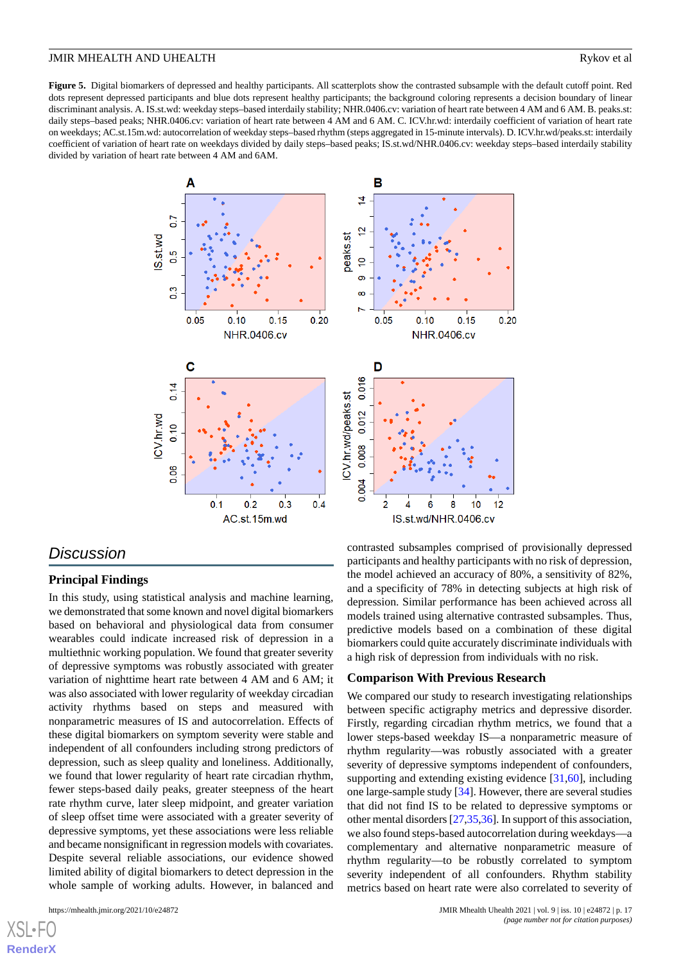<span id="page-16-0"></span>**Figure 5.** Digital biomarkers of depressed and healthy participants. All scatterplots show the contrasted subsample with the default cutoff point. Red dots represent depressed participants and blue dots represent healthy participants; the background coloring represents a decision boundary of linear discriminant analysis. A. IS.st.wd: weekday steps–based interdaily stability; NHR.0406.cv: variation of heart rate between 4 AM and 6 AM. B. peaks.st: daily steps–based peaks; NHR.0406.cv: variation of heart rate between 4 AM and 6 AM. C. ICV.hr.wd: interdaily coefficient of variation of heart rate on weekdays; AC.st.15m.wd: autocorrelation of weekday steps–based rhythm (steps aggregated in 15-minute intervals). D. ICV.hr.wd/peaks.st: interdaily coefficient of variation of heart rate on weekdays divided by daily steps–based peaks; IS.st.wd/NHR.0406.cv: weekday steps–based interdaily stability divided by variation of heart rate between 4 AM and 6AM.



# *Discussion*

# **Principal Findings**

In this study, using statistical analysis and machine learning, we demonstrated that some known and novel digital biomarkers based on behavioral and physiological data from consumer wearables could indicate increased risk of depression in a multiethnic working population. We found that greater severity of depressive symptoms was robustly associated with greater variation of nighttime heart rate between 4 AM and 6 AM; it was also associated with lower regularity of weekday circadian activity rhythms based on steps and measured with nonparametric measures of IS and autocorrelation. Effects of these digital biomarkers on symptom severity were stable and independent of all confounders including strong predictors of depression, such as sleep quality and loneliness. Additionally, we found that lower regularity of heart rate circadian rhythm, fewer steps-based daily peaks, greater steepness of the heart rate rhythm curve, later sleep midpoint, and greater variation of sleep offset time were associated with a greater severity of depressive symptoms, yet these associations were less reliable and became nonsignificant in regression models with covariates. Despite several reliable associations, our evidence showed limited ability of digital biomarkers to detect depression in the whole sample of working adults. However, in balanced and

[XSL](http://www.w3.org/Style/XSL)•FO **[RenderX](http://www.renderx.com/)**

contrasted subsamples comprised of provisionally depressed participants and healthy participants with no risk of depression, the model achieved an accuracy of 80%, a sensitivity of 82%, and a specificity of 78% in detecting subjects at high risk of depression. Similar performance has been achieved across all models trained using alternative contrasted subsamples. Thus, predictive models based on a combination of these digital biomarkers could quite accurately discriminate individuals with a high risk of depression from individuals with no risk.

### **Comparison With Previous Research**

We compared our study to research investigating relationships between specific actigraphy metrics and depressive disorder. Firstly, regarding circadian rhythm metrics, we found that a lower steps-based weekday IS—a nonparametric measure of rhythm regularity—was robustly associated with a greater severity of depressive symptoms independent of confounders, supporting and extending existing evidence [[31](#page-21-3)[,60](#page-22-11)], including one large-sample study [[34\]](#page-21-6). However, there are several studies that did not find IS to be related to depressive symptoms or other mental disorders [\[27](#page-20-16)[,35](#page-21-7),[36\]](#page-21-8). In support of this association, we also found steps-based autocorrelation during weekdays—a complementary and alternative nonparametric measure of rhythm regularity—to be robustly correlated to symptom severity independent of all confounders. Rhythm stability metrics based on heart rate were also correlated to severity of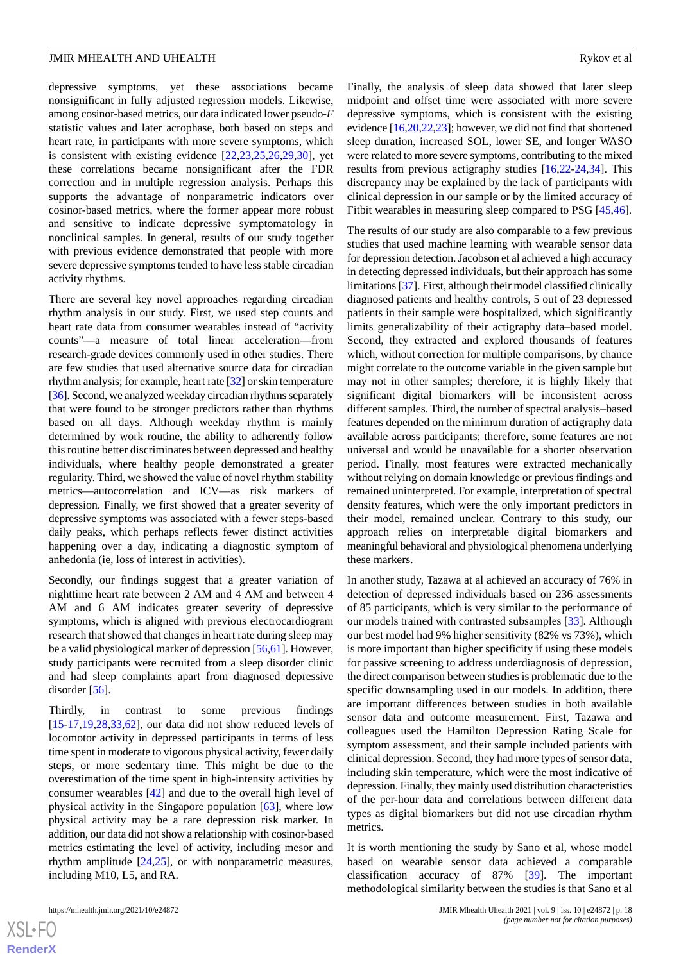depressive symptoms, yet these associations became nonsignificant in fully adjusted regression models. Likewise, among cosinor-based metrics, our data indicated lower pseudo-*F* statistic values and later acrophase, both based on steps and heart rate, in participants with more severe symptoms, which is consistent with existing evidence [\[22](#page-20-12),[23,](#page-20-13)[25](#page-20-17),[26,](#page-20-15)[29](#page-21-1),[30\]](#page-21-2), yet these correlations became nonsignificant after the FDR correction and in multiple regression analysis. Perhaps this supports the advantage of nonparametric indicators over cosinor-based metrics, where the former appear more robust and sensitive to indicate depressive symptomatology in nonclinical samples. In general, results of our study together with previous evidence demonstrated that people with more severe depressive symptoms tended to have less stable circadian activity rhythms.

There are several key novel approaches regarding circadian rhythm analysis in our study. First, we used step counts and heart rate data from consumer wearables instead of "activity counts"—a measure of total linear acceleration—from research-grade devices commonly used in other studies. There are few studies that used alternative source data for circadian rhythm analysis; for example, heart rate [\[32](#page-21-4)] or skin temperature [[36](#page-21-8)]. Second, we analyzed weekday circadian rhythms separately that were found to be stronger predictors rather than rhythms based on all days. Although weekday rhythm is mainly determined by work routine, the ability to adherently follow this routine better discriminates between depressed and healthy individuals, where healthy people demonstrated a greater regularity. Third, we showed the value of novel rhythm stability metrics—autocorrelation and ICV—as risk markers of depression. Finally, we first showed that a greater severity of depressive symptoms was associated with a fewer steps-based daily peaks, which perhaps reflects fewer distinct activities happening over a day, indicating a diagnostic symptom of anhedonia (ie, loss of interest in activities).

Secondly, our findings suggest that a greater variation of nighttime heart rate between 2 AM and 4 AM and between 4 AM and 6 AM indicates greater severity of depressive symptoms, which is aligned with previous electrocardiogram research that showed that changes in heart rate during sleep may be a valid physiological marker of depression [\[56](#page-22-7)[,61](#page-22-12)]. However, study participants were recruited from a sleep disorder clinic and had sleep complaints apart from diagnosed depressive disorder [\[56](#page-22-7)].

Thirdly, in contrast to some previous findings [[15](#page-20-5)[-17](#page-20-7),[19,](#page-20-9)[28](#page-21-0),[33,](#page-21-5)[62](#page-22-13)], our data did not show reduced levels of locomotor activity in depressed participants in terms of less time spent in moderate to vigorous physical activity, fewer daily steps, or more sedentary time. This might be due to the overestimation of the time spent in high-intensity activities by consumer wearables [\[42](#page-21-14)] and due to the overall high level of physical activity in the Singapore population [\[63](#page-22-14)], where low physical activity may be a rare depression risk marker. In addition, our data did not show a relationship with cosinor-based metrics estimating the level of activity, including mesor and rhythm amplitude [\[24](#page-20-14),[25\]](#page-20-17), or with nonparametric measures, including M10, L5, and RA.

Finally, the analysis of sleep data showed that later sleep midpoint and offset time were associated with more severe depressive symptoms, which is consistent with the existing evidence [[16](#page-20-6)[,20](#page-20-10),[22,](#page-20-12)[23](#page-20-13)]; however, we did not find that shortened sleep duration, increased SOL, lower SE, and longer WASO were related to more severe symptoms, contributing to the mixed results from previous actigraphy studies [[16](#page-20-6)[,22](#page-20-12)-[24,](#page-20-14)[34](#page-21-6)]. This discrepancy may be explained by the lack of participants with clinical depression in our sample or by the limited accuracy of Fitbit wearables in measuring sleep compared to PSG [\[45](#page-21-15),[46\]](#page-21-16).

The results of our study are also comparable to a few previous studies that used machine learning with wearable sensor data for depression detection. Jacobson et al achieved a high accuracy in detecting depressed individuals, but their approach has some limitations [[37\]](#page-21-9). First, although their model classified clinically diagnosed patients and healthy controls, 5 out of 23 depressed patients in their sample were hospitalized, which significantly limits generalizability of their actigraphy data–based model. Second, they extracted and explored thousands of features which, without correction for multiple comparisons, by chance might correlate to the outcome variable in the given sample but may not in other samples; therefore, it is highly likely that significant digital biomarkers will be inconsistent across different samples. Third, the number of spectral analysis–based features depended on the minimum duration of actigraphy data available across participants; therefore, some features are not universal and would be unavailable for a shorter observation period. Finally, most features were extracted mechanically without relying on domain knowledge or previous findings and remained uninterpreted. For example, interpretation of spectral density features, which were the only important predictors in their model, remained unclear. Contrary to this study, our approach relies on interpretable digital biomarkers and meaningful behavioral and physiological phenomena underlying these markers.

In another study, Tazawa at al achieved an accuracy of 76% in detection of depressed individuals based on 236 assessments of 85 participants, which is very similar to the performance of our models trained with contrasted subsamples [[33\]](#page-21-5). Although our best model had 9% higher sensitivity (82% vs 73%), which is more important than higher specificity if using these models for passive screening to address underdiagnosis of depression, the direct comparison between studies is problematic due to the specific downsampling used in our models. In addition, there are important differences between studies in both available sensor data and outcome measurement. First, Tazawa and colleagues used the Hamilton Depression Rating Scale for symptom assessment, and their sample included patients with clinical depression. Second, they had more types of sensor data, including skin temperature, which were the most indicative of depression. Finally, they mainly used distribution characteristics of the per-hour data and correlations between different data types as digital biomarkers but did not use circadian rhythm metrics.

It is worth mentioning the study by Sano et al, whose model based on wearable sensor data achieved a comparable classification accuracy of 87% [\[39](#page-21-11)]. The important methodological similarity between the studies is that Sano et al

 $XS$  $\cdot$ FC **[RenderX](http://www.renderx.com/)**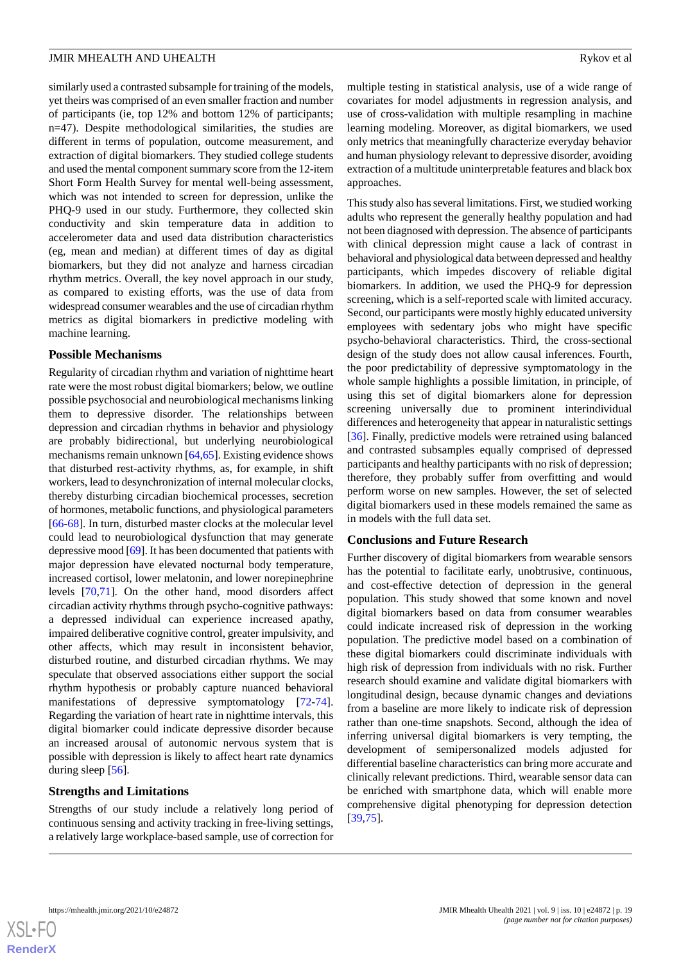similarly used a contrasted subsample for training of the models, yet theirs was comprised of an even smaller fraction and number of participants (ie, top 12% and bottom 12% of participants; n=47). Despite methodological similarities, the studies are different in terms of population, outcome measurement, and extraction of digital biomarkers. They studied college students and used the mental component summary score from the 12-item Short Form Health Survey for mental well-being assessment, which was not intended to screen for depression, unlike the PHQ-9 used in our study. Furthermore, they collected skin conductivity and skin temperature data in addition to accelerometer data and used data distribution characteristics (eg, mean and median) at different times of day as digital biomarkers, but they did not analyze and harness circadian rhythm metrics. Overall, the key novel approach in our study, as compared to existing efforts, was the use of data from widespread consumer wearables and the use of circadian rhythm metrics as digital biomarkers in predictive modeling with machine learning.

### **Possible Mechanisms**

Regularity of circadian rhythm and variation of nighttime heart rate were the most robust digital biomarkers; below, we outline possible psychosocial and neurobiological mechanisms linking them to depressive disorder. The relationships between depression and circadian rhythms in behavior and physiology are probably bidirectional, but underlying neurobiological mechanisms remain unknown [\[64](#page-22-15)[,65](#page-22-16)]. Existing evidence shows that disturbed rest-activity rhythms, as, for example, in shift workers, lead to desynchronization of internal molecular clocks, thereby disturbing circadian biochemical processes, secretion of hormones, metabolic functions, and physiological parameters [[66](#page-22-17)[-68](#page-22-18)]. In turn, disturbed master clocks at the molecular level could lead to neurobiological dysfunction that may generate depressive mood [\[69](#page-22-19)]. It has been documented that patients with major depression have elevated nocturnal body temperature, increased cortisol, lower melatonin, and lower norepinephrine levels [\[70](#page-22-20),[71\]](#page-22-21). On the other hand, mood disorders affect circadian activity rhythms through psycho-cognitive pathways: a depressed individual can experience increased apathy, impaired deliberative cognitive control, greater impulsivity, and other affects, which may result in inconsistent behavior, disturbed routine, and disturbed circadian rhythms. We may speculate that observed associations either support the social rhythm hypothesis or probably capture nuanced behavioral manifestations of depressive symptomatology [\[72](#page-22-22)-[74\]](#page-23-0). Regarding the variation of heart rate in nighttime intervals, this digital biomarker could indicate depressive disorder because an increased arousal of autonomic nervous system that is possible with depression is likely to affect heart rate dynamics during sleep [[56\]](#page-22-7).

# **Strengths and Limitations**

Strengths of our study include a relatively long period of continuous sensing and activity tracking in free-living settings, a relatively large workplace-based sample, use of correction for

multiple testing in statistical analysis, use of a wide range of covariates for model adjustments in regression analysis, and use of cross-validation with multiple resampling in machine learning modeling. Moreover, as digital biomarkers, we used only metrics that meaningfully characterize everyday behavior and human physiology relevant to depressive disorder, avoiding extraction of a multitude uninterpretable features and black box approaches.

This study also has several limitations. First, we studied working adults who represent the generally healthy population and had not been diagnosed with depression. The absence of participants with clinical depression might cause a lack of contrast in behavioral and physiological data between depressed and healthy participants, which impedes discovery of reliable digital biomarkers. In addition, we used the PHQ-9 for depression screening, which is a self-reported scale with limited accuracy. Second, our participants were mostly highly educated university employees with sedentary jobs who might have specific psycho-behavioral characteristics. Third, the cross-sectional design of the study does not allow causal inferences. Fourth, the poor predictability of depressive symptomatology in the whole sample highlights a possible limitation, in principle, of using this set of digital biomarkers alone for depression screening universally due to prominent interindividual differences and heterogeneity that appear in naturalistic settings [[36\]](#page-21-8). Finally, predictive models were retrained using balanced and contrasted subsamples equally comprised of depressed participants and healthy participants with no risk of depression; therefore, they probably suffer from overfitting and would perform worse on new samples. However, the set of selected digital biomarkers used in these models remained the same as in models with the full data set.

# **Conclusions and Future Research**

Further discovery of digital biomarkers from wearable sensors has the potential to facilitate early, unobtrusive, continuous, and cost-effective detection of depression in the general population. This study showed that some known and novel digital biomarkers based on data from consumer wearables could indicate increased risk of depression in the working population. The predictive model based on a combination of these digital biomarkers could discriminate individuals with high risk of depression from individuals with no risk. Further research should examine and validate digital biomarkers with longitudinal design, because dynamic changes and deviations from a baseline are more likely to indicate risk of depression rather than one-time snapshots. Second, although the idea of inferring universal digital biomarkers is very tempting, the development of semipersonalized models adjusted for differential baseline characteristics can bring more accurate and clinically relevant predictions. Third, wearable sensor data can be enriched with smartphone data, which will enable more comprehensive digital phenotyping for depression detection [[39,](#page-21-11)[75\]](#page-23-1).

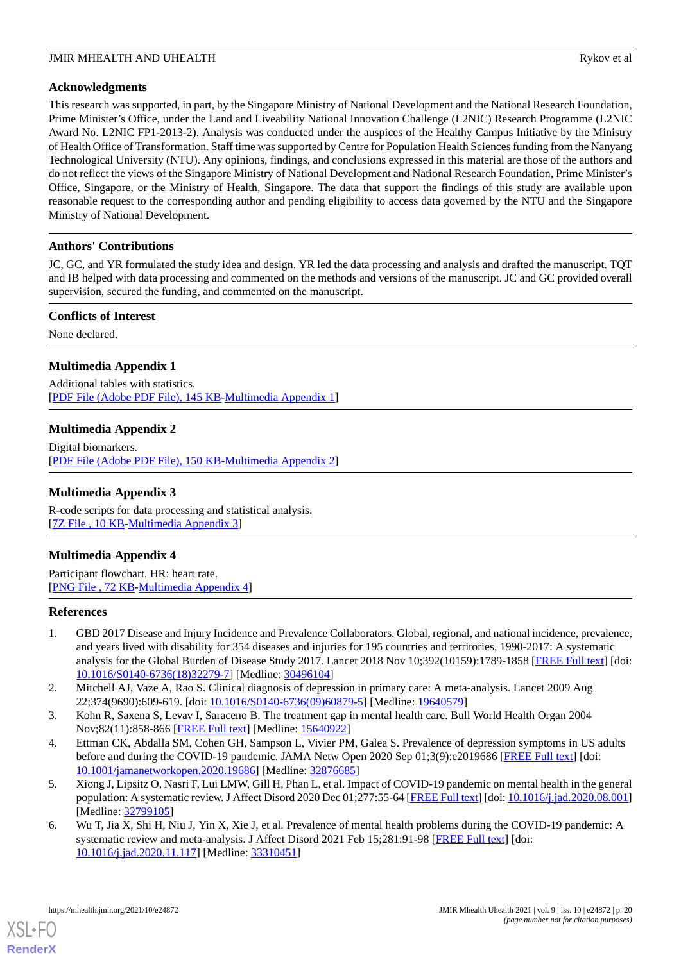# **Acknowledgments**

This research was supported, in part, by the Singapore Ministry of National Development and the National Research Foundation, Prime Minister's Office, under the Land and Liveability National Innovation Challenge (L2NIC) Research Programme (L2NIC Award No. L2NIC FP1-2013-2). Analysis was conducted under the auspices of the Healthy Campus Initiative by the Ministry of Health Office of Transformation. Staff time was supported by Centre for Population Health Sciences funding from the Nanyang Technological University (NTU). Any opinions, findings, and conclusions expressed in this material are those of the authors and do not reflect the views of the Singapore Ministry of National Development and National Research Foundation, Prime Minister's Office, Singapore, or the Ministry of Health, Singapore. The data that support the findings of this study are available upon reasonable request to the corresponding author and pending eligibility to access data governed by the NTU and the Singapore Ministry of National Development.

# **Authors' Contributions**

JC, GC, and YR formulated the study idea and design. YR led the data processing and analysis and drafted the manuscript. TQT and IB helped with data processing and commented on the methods and versions of the manuscript. JC and GC provided overall supervision, secured the funding, and commented on the manuscript.

# **Conflicts of Interest**

<span id="page-19-5"></span>None declared.

# **Multimedia Appendix 1**

<span id="page-19-6"></span>Additional tables with statistics. [[PDF File \(Adobe PDF File\), 145 KB](https://jmir.org/api/download?alt_name=mhealth_v9i10e24872_app1.pdf&filename=4915a8b3740354f465028388ec8fdebe.pdf)-[Multimedia Appendix 1\]](https://jmir.org/api/download?alt_name=mhealth_v9i10e24872_app1.pdf&filename=4915a8b3740354f465028388ec8fdebe.pdf)

# **Multimedia Appendix 2**

<span id="page-19-7"></span>Digital biomarkers. [[PDF File \(Adobe PDF File\), 150 KB](https://jmir.org/api/download?alt_name=mhealth_v9i10e24872_app2.pdf&filename=4ba03718634181d35a691dcf9d7e69eb.pdf)-[Multimedia Appendix 2\]](https://jmir.org/api/download?alt_name=mhealth_v9i10e24872_app2.pdf&filename=4ba03718634181d35a691dcf9d7e69eb.pdf)

# <span id="page-19-8"></span>**Multimedia Appendix 3**

R-code scripts for data processing and statistical analysis. [[7Z File , 10 KB-Multimedia Appendix 3](https://jmir.org/api/download?alt_name=mhealth_v9i10e24872_app3.7z&filename=fe4459a4d50587ccece24219ad6bdd4e.7z)]

# **Multimedia Appendix 4**

<span id="page-19-0"></span>Participant flowchart. HR: heart rate. [[PNG File , 72 KB-Multimedia Appendix 4](https://jmir.org/api/download?alt_name=mhealth_v9i10e24872_app4.png&filename=f016e47fcce341808485ee1fc35ac3fc.png)]

# <span id="page-19-1"></span>**References**

- <span id="page-19-2"></span>1. GBD 2017 Disease and Injury Incidence and Prevalence Collaborators. Global, regional, and national incidence, prevalence, and years lived with disability for 354 diseases and injuries for 195 countries and territories, 1990-2017: A systematic analysis for the Global Burden of Disease Study 2017. Lancet 2018 Nov 10;392(10159):1789-1858 [\[FREE Full text](https://linkinghub.elsevier.com/retrieve/pii/S0140-6736(18)32279-7)] [doi: [10.1016/S0140-6736\(18\)32279-7\]](http://dx.doi.org/10.1016/S0140-6736(18)32279-7) [Medline: [30496104](http://www.ncbi.nlm.nih.gov/entrez/query.fcgi?cmd=Retrieve&db=PubMed&list_uids=30496104&dopt=Abstract)]
- <span id="page-19-3"></span>2. Mitchell AJ, Vaze A, Rao S. Clinical diagnosis of depression in primary care: A meta-analysis. Lancet 2009 Aug 22;374(9690):609-619. [doi: [10.1016/S0140-6736\(09\)60879-5\]](http://dx.doi.org/10.1016/S0140-6736(09)60879-5) [Medline: [19640579](http://www.ncbi.nlm.nih.gov/entrez/query.fcgi?cmd=Retrieve&db=PubMed&list_uids=19640579&dopt=Abstract)]
- 3. Kohn R, Saxena S, Levav I, Saraceno B. The treatment gap in mental health care. Bull World Health Organ 2004 Nov;82(11):858-866 [[FREE Full text](http://europepmc.org/abstract/MED/15640922)] [Medline: [15640922](http://www.ncbi.nlm.nih.gov/entrez/query.fcgi?cmd=Retrieve&db=PubMed&list_uids=15640922&dopt=Abstract)]
- <span id="page-19-4"></span>4. Ettman CK, Abdalla SM, Cohen GH, Sampson L, Vivier PM, Galea S. Prevalence of depression symptoms in US adults before and during the COVID-19 pandemic. JAMA Netw Open 2020 Sep 01;3(9):e2019686 [[FREE Full text](https://jamanetwork.com/journals/jamanetworkopen/fullarticle/10.1001/jamanetworkopen.2020.19686)] [doi: [10.1001/jamanetworkopen.2020.19686](http://dx.doi.org/10.1001/jamanetworkopen.2020.19686)] [Medline: [32876685](http://www.ncbi.nlm.nih.gov/entrez/query.fcgi?cmd=Retrieve&db=PubMed&list_uids=32876685&dopt=Abstract)]
- 5. Xiong J, Lipsitz O, Nasri F, Lui LMW, Gill H, Phan L, et al. Impact of COVID-19 pandemic on mental health in the general population: A systematic review. J Affect Disord 2020 Dec 01;277:55-64 [[FREE Full text](http://europepmc.org/abstract/MED/32799105)] [doi: [10.1016/j.jad.2020.08.001](http://dx.doi.org/10.1016/j.jad.2020.08.001)] [Medline: [32799105](http://www.ncbi.nlm.nih.gov/entrez/query.fcgi?cmd=Retrieve&db=PubMed&list_uids=32799105&dopt=Abstract)]
- 6. Wu T, Jia X, Shi H, Niu J, Yin X, Xie J, et al. Prevalence of mental health problems during the COVID-19 pandemic: A systematic review and meta-analysis. J Affect Disord 2021 Feb 15;281:91-98 [[FREE Full text](http://europepmc.org/abstract/MED/33310451)] [doi: [10.1016/j.jad.2020.11.117\]](http://dx.doi.org/10.1016/j.jad.2020.11.117) [Medline: [33310451\]](http://www.ncbi.nlm.nih.gov/entrez/query.fcgi?cmd=Retrieve&db=PubMed&list_uids=33310451&dopt=Abstract)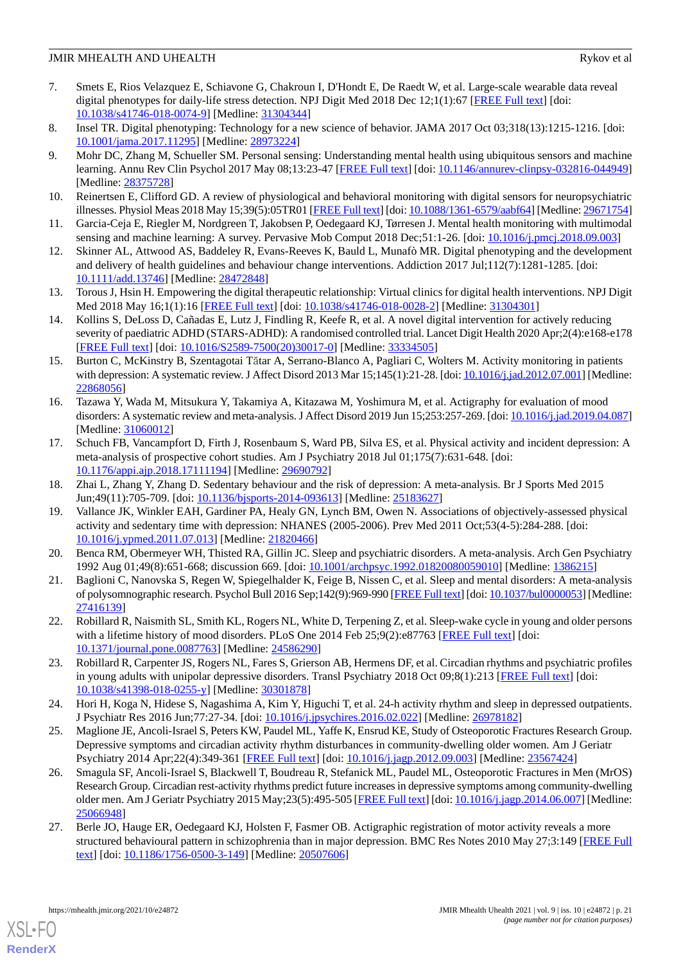- <span id="page-20-0"></span>7. Smets E, Rios Velazquez E, Schiavone G, Chakroun I, D'Hondt E, De Raedt W, et al. Large-scale wearable data reveal digital phenotypes for daily-life stress detection. NPJ Digit Med 2018 Dec 12;1(1):67 [\[FREE Full text\]](https://doi.org/10.1038/s41746-018-0074-9) [doi: [10.1038/s41746-018-0074-9\]](http://dx.doi.org/10.1038/s41746-018-0074-9) [Medline: [31304344](http://www.ncbi.nlm.nih.gov/entrez/query.fcgi?cmd=Retrieve&db=PubMed&list_uids=31304344&dopt=Abstract)]
- <span id="page-20-1"></span>8. Insel TR. Digital phenotyping: Technology for a new science of behavior. JAMA 2017 Oct 03;318(13):1215-1216. [doi: [10.1001/jama.2017.11295](http://dx.doi.org/10.1001/jama.2017.11295)] [Medline: [28973224](http://www.ncbi.nlm.nih.gov/entrez/query.fcgi?cmd=Retrieve&db=PubMed&list_uids=28973224&dopt=Abstract)]
- 9. Mohr DC, Zhang M, Schueller SM. Personal sensing: Understanding mental health using ubiquitous sensors and machine learning. Annu Rev Clin Psychol 2017 May 08;13:23-47 [[FREE Full text\]](http://europepmc.org/abstract/MED/28375728) [doi: [10.1146/annurev-clinpsy-032816-044949](http://dx.doi.org/10.1146/annurev-clinpsy-032816-044949)] [Medline: [28375728](http://www.ncbi.nlm.nih.gov/entrez/query.fcgi?cmd=Retrieve&db=PubMed&list_uids=28375728&dopt=Abstract)]
- <span id="page-20-2"></span>10. Reinertsen E, Clifford GD. A review of physiological and behavioral monitoring with digital sensors for neuropsychiatric illnesses. Physiol Meas 2018 May 15;39(5):05TR01 [\[FREE Full text](http://europepmc.org/abstract/MED/29671754)] [doi: [10.1088/1361-6579/aabf64](http://dx.doi.org/10.1088/1361-6579/aabf64)] [Medline: [29671754\]](http://www.ncbi.nlm.nih.gov/entrez/query.fcgi?cmd=Retrieve&db=PubMed&list_uids=29671754&dopt=Abstract)
- <span id="page-20-3"></span>11. Garcia-Ceja E, Riegler M, Nordgreen T, Jakobsen P, Oedegaard KJ, Tørresen J. Mental health monitoring with multimodal sensing and machine learning: A survey. Pervasive Mob Comput 2018 Dec;51:1-26. [doi: [10.1016/j.pmcj.2018.09.003\]](http://dx.doi.org/10.1016/j.pmcj.2018.09.003)
- 12. Skinner AL, Attwood AS, Baddeley R, Evans-Reeves K, Bauld L, Munafò MR. Digital phenotyping and the development and delivery of health guidelines and behaviour change interventions. Addiction 2017 Jul;112(7):1281-1285. [doi: [10.1111/add.13746\]](http://dx.doi.org/10.1111/add.13746) [Medline: [28472848\]](http://www.ncbi.nlm.nih.gov/entrez/query.fcgi?cmd=Retrieve&db=PubMed&list_uids=28472848&dopt=Abstract)
- <span id="page-20-4"></span>13. Torous J, Hsin H. Empowering the digital therapeutic relationship: Virtual clinics for digital health interventions. NPJ Digit Med 2018 May 16;1(1):16 [[FREE Full text](https://doi.org/10.1038/s41746-018-0028-2)] [doi: [10.1038/s41746-018-0028-2](http://dx.doi.org/10.1038/s41746-018-0028-2)] [Medline: [31304301](http://www.ncbi.nlm.nih.gov/entrez/query.fcgi?cmd=Retrieve&db=PubMed&list_uids=31304301&dopt=Abstract)]
- <span id="page-20-5"></span>14. Kollins S, DeLoss D, Cañadas E, Lutz J, Findling R, Keefe R, et al. A novel digital intervention for actively reducing severity of paediatric ADHD (STARS-ADHD): A randomised controlled trial. Lancet Digit Health 2020 Apr;2(4):e168-e178 [[FREE Full text](https://linkinghub.elsevier.com/retrieve/pii/S2589-7500(20)30017-0)] [doi: [10.1016/S2589-7500\(20\)30017-0\]](http://dx.doi.org/10.1016/S2589-7500(20)30017-0) [Medline: [33334505](http://www.ncbi.nlm.nih.gov/entrez/query.fcgi?cmd=Retrieve&db=PubMed&list_uids=33334505&dopt=Abstract)]
- <span id="page-20-6"></span>15. Burton C, McKinstry B, Szentagotai Tătar A, Serrano-Blanco A, Pagliari C, Wolters M. Activity monitoring in patients with depression: A systematic review. J Affect Disord 2013 Mar 15;145(1):21-28. [doi: [10.1016/j.jad.2012.07.001\]](http://dx.doi.org/10.1016/j.jad.2012.07.001) [Medline: [22868056](http://www.ncbi.nlm.nih.gov/entrez/query.fcgi?cmd=Retrieve&db=PubMed&list_uids=22868056&dopt=Abstract)]
- <span id="page-20-7"></span>16. Tazawa Y, Wada M, Mitsukura Y, Takamiya A, Kitazawa M, Yoshimura M, et al. Actigraphy for evaluation of mood disorders: A systematic review and meta-analysis. J Affect Disord 2019 Jun 15;253:257-269. [doi: [10.1016/j.jad.2019.04.087](http://dx.doi.org/10.1016/j.jad.2019.04.087)] [Medline: [31060012](http://www.ncbi.nlm.nih.gov/entrez/query.fcgi?cmd=Retrieve&db=PubMed&list_uids=31060012&dopt=Abstract)]
- <span id="page-20-9"></span><span id="page-20-8"></span>17. Schuch FB, Vancampfort D, Firth J, Rosenbaum S, Ward PB, Silva ES, et al. Physical activity and incident depression: A meta-analysis of prospective cohort studies. Am J Psychiatry 2018 Jul 01;175(7):631-648. [doi: [10.1176/appi.ajp.2018.17111194\]](http://dx.doi.org/10.1176/appi.ajp.2018.17111194) [Medline: [29690792](http://www.ncbi.nlm.nih.gov/entrez/query.fcgi?cmd=Retrieve&db=PubMed&list_uids=29690792&dopt=Abstract)]
- 18. Zhai L, Zhang Y, Zhang D. Sedentary behaviour and the risk of depression: A meta-analysis. Br J Sports Med 2015 Jun;49(11):705-709. [doi: [10.1136/bjsports-2014-093613\]](http://dx.doi.org/10.1136/bjsports-2014-093613) [Medline: [25183627\]](http://www.ncbi.nlm.nih.gov/entrez/query.fcgi?cmd=Retrieve&db=PubMed&list_uids=25183627&dopt=Abstract)
- <span id="page-20-11"></span><span id="page-20-10"></span>19. Vallance JK, Winkler EAH, Gardiner PA, Healy GN, Lynch BM, Owen N. Associations of objectively-assessed physical activity and sedentary time with depression: NHANES (2005-2006). Prev Med 2011 Oct;53(4-5):284-288. [doi: [10.1016/j.ypmed.2011.07.013\]](http://dx.doi.org/10.1016/j.ypmed.2011.07.013) [Medline: [21820466\]](http://www.ncbi.nlm.nih.gov/entrez/query.fcgi?cmd=Retrieve&db=PubMed&list_uids=21820466&dopt=Abstract)
- <span id="page-20-12"></span>20. Benca RM, Obermeyer WH, Thisted RA, Gillin JC. Sleep and psychiatric disorders. A meta-analysis. Arch Gen Psychiatry 1992 Aug 01;49(8):651-668; discussion 669. [doi: [10.1001/archpsyc.1992.01820080059010\]](http://dx.doi.org/10.1001/archpsyc.1992.01820080059010) [Medline: [1386215\]](http://www.ncbi.nlm.nih.gov/entrez/query.fcgi?cmd=Retrieve&db=PubMed&list_uids=1386215&dopt=Abstract)
- <span id="page-20-13"></span>21. Baglioni C, Nanovska S, Regen W, Spiegelhalder K, Feige B, Nissen C, et al. Sleep and mental disorders: A meta-analysis of polysomnographic research. Psychol Bull 2016 Sep;142(9):969-990 [[FREE Full text\]](http://europepmc.org/abstract/MED/27416139) [doi: [10.1037/bul0000053](http://dx.doi.org/10.1037/bul0000053)] [Medline: [27416139](http://www.ncbi.nlm.nih.gov/entrez/query.fcgi?cmd=Retrieve&db=PubMed&list_uids=27416139&dopt=Abstract)]
- <span id="page-20-14"></span>22. Robillard R, Naismith SL, Smith KL, Rogers NL, White D, Terpening Z, et al. Sleep-wake cycle in young and older persons with a lifetime history of mood disorders. PLoS One 2014 Feb 25;9(2):e87763 [[FREE Full text](https://dx.plos.org/10.1371/journal.pone.0087763)] [doi: [10.1371/journal.pone.0087763\]](http://dx.doi.org/10.1371/journal.pone.0087763) [Medline: [24586290](http://www.ncbi.nlm.nih.gov/entrez/query.fcgi?cmd=Retrieve&db=PubMed&list_uids=24586290&dopt=Abstract)]
- <span id="page-20-17"></span>23. Robillard R, Carpenter JS, Rogers NL, Fares S, Grierson AB, Hermens DF, et al. Circadian rhythms and psychiatric profiles in young adults with unipolar depressive disorders. Transl Psychiatry 2018 Oct 09;8(1):213 [[FREE Full text](https://doi.org/10.1038/s41398-018-0255-y)] [doi: [10.1038/s41398-018-0255-y\]](http://dx.doi.org/10.1038/s41398-018-0255-y) [Medline: [30301878](http://www.ncbi.nlm.nih.gov/entrez/query.fcgi?cmd=Retrieve&db=PubMed&list_uids=30301878&dopt=Abstract)]
- <span id="page-20-15"></span>24. Hori H, Koga N, Hidese S, Nagashima A, Kim Y, Higuchi T, et al. 24-h activity rhythm and sleep in depressed outpatients. J Psychiatr Res 2016 Jun;77:27-34. [doi: [10.1016/j.jpsychires.2016.02.022](http://dx.doi.org/10.1016/j.jpsychires.2016.02.022)] [Medline: [26978182](http://www.ncbi.nlm.nih.gov/entrez/query.fcgi?cmd=Retrieve&db=PubMed&list_uids=26978182&dopt=Abstract)]
- <span id="page-20-16"></span>25. Maglione JE, Ancoli-Israel S, Peters KW, Paudel ML, Yaffe K, Ensrud KE, Study of Osteoporotic Fractures Research Group. Depressive symptoms and circadian activity rhythm disturbances in community-dwelling older women. Am J Geriatr Psychiatry 2014 Apr;22(4):349-361 [[FREE Full text](http://europepmc.org/abstract/MED/23567424)] [doi: [10.1016/j.jagp.2012.09.003\]](http://dx.doi.org/10.1016/j.jagp.2012.09.003) [Medline: [23567424](http://www.ncbi.nlm.nih.gov/entrez/query.fcgi?cmd=Retrieve&db=PubMed&list_uids=23567424&dopt=Abstract)]
- 26. Smagula SF, Ancoli-Israel S, Blackwell T, Boudreau R, Stefanick ML, Paudel ML, Osteoporotic Fractures in Men (MrOS) Research Group. Circadian rest-activity rhythms predict future increases in depressive symptoms among community-dwelling older men. Am J Geriatr Psychiatry 2015 May;23(5):495-505 [[FREE Full text](http://europepmc.org/abstract/MED/25066948)] [doi: [10.1016/j.jagp.2014.06.007](http://dx.doi.org/10.1016/j.jagp.2014.06.007)] [Medline: [25066948](http://www.ncbi.nlm.nih.gov/entrez/query.fcgi?cmd=Retrieve&db=PubMed&list_uids=25066948&dopt=Abstract)]
- 27. Berle JO, Hauge ER, Oedegaard KJ, Holsten F, Fasmer OB. Actigraphic registration of motor activity reveals a more structured behavioural pattern in schizophrenia than in major depression. BMC Res Notes 2010 May 27;3:149 [[FREE Full](https://bmcresnotes.biomedcentral.com/articles/10.1186/1756-0500-3-149) [text](https://bmcresnotes.biomedcentral.com/articles/10.1186/1756-0500-3-149)] [doi: [10.1186/1756-0500-3-149\]](http://dx.doi.org/10.1186/1756-0500-3-149) [Medline: [20507606\]](http://www.ncbi.nlm.nih.gov/entrez/query.fcgi?cmd=Retrieve&db=PubMed&list_uids=20507606&dopt=Abstract)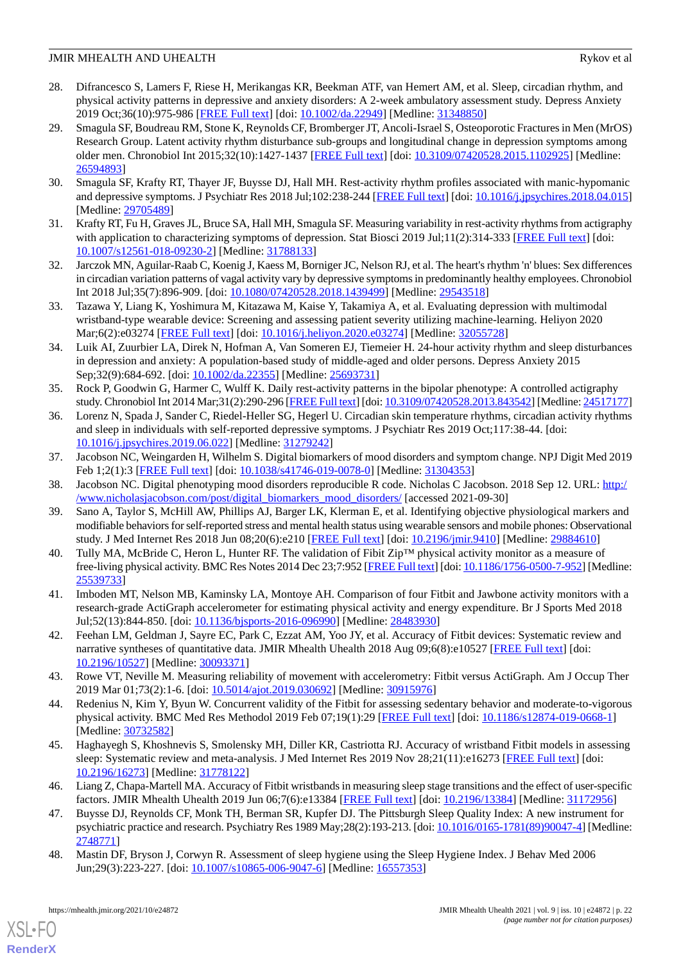- <span id="page-21-0"></span>28. Difrancesco S, Lamers F, Riese H, Merikangas KR, Beekman ATF, van Hemert AM, et al. Sleep, circadian rhythm, and physical activity patterns in depressive and anxiety disorders: A 2-week ambulatory assessment study. Depress Anxiety 2019 Oct;36(10):975-986 [[FREE Full text](http://europepmc.org/abstract/MED/31348850)] [doi: [10.1002/da.22949\]](http://dx.doi.org/10.1002/da.22949) [Medline: [31348850](http://www.ncbi.nlm.nih.gov/entrez/query.fcgi?cmd=Retrieve&db=PubMed&list_uids=31348850&dopt=Abstract)]
- <span id="page-21-1"></span>29. Smagula SF, Boudreau RM, Stone K, Reynolds CF, Bromberger JT, Ancoli-Israel S, Osteoporotic Fractures in Men (MrOS) Research Group. Latent activity rhythm disturbance sub-groups and longitudinal change in depression symptoms among older men. Chronobiol Int 2015;32(10):1427-1437 [[FREE Full text](http://europepmc.org/abstract/MED/26594893)] [doi: [10.3109/07420528.2015.1102925\]](http://dx.doi.org/10.3109/07420528.2015.1102925) [Medline: [26594893](http://www.ncbi.nlm.nih.gov/entrez/query.fcgi?cmd=Retrieve&db=PubMed&list_uids=26594893&dopt=Abstract)]
- <span id="page-21-3"></span><span id="page-21-2"></span>30. Smagula SF, Krafty RT, Thayer JF, Buysse DJ, Hall MH. Rest-activity rhythm profiles associated with manic-hypomanic and depressive symptoms. J Psychiatr Res 2018 Jul;102:238-244 [\[FREE Full text](http://europepmc.org/abstract/MED/29705489)] [doi: [10.1016/j.jpsychires.2018.04.015](http://dx.doi.org/10.1016/j.jpsychires.2018.04.015)] [Medline: [29705489](http://www.ncbi.nlm.nih.gov/entrez/query.fcgi?cmd=Retrieve&db=PubMed&list_uids=29705489&dopt=Abstract)]
- <span id="page-21-4"></span>31. Krafty RT, Fu H, Graves JL, Bruce SA, Hall MH, Smagula SF. Measuring variability in rest-activity rhythms from actigraphy with application to characterizing symptoms of depression. Stat Biosci 2019 Jul;11(2):314-333 [\[FREE Full text](http://europepmc.org/abstract/MED/31788133)] [doi: [10.1007/s12561-018-09230-2\]](http://dx.doi.org/10.1007/s12561-018-09230-2) [Medline: [31788133\]](http://www.ncbi.nlm.nih.gov/entrez/query.fcgi?cmd=Retrieve&db=PubMed&list_uids=31788133&dopt=Abstract)
- <span id="page-21-5"></span>32. Jarczok MN, Aguilar-Raab C, Koenig J, Kaess M, Borniger JC, Nelson RJ, et al. The heart's rhythm 'n' blues: Sex differences in circadian variation patterns of vagal activity vary by depressive symptoms in predominantly healthy employees. Chronobiol Int 2018 Jul;35(7):896-909. [doi: [10.1080/07420528.2018.1439499](http://dx.doi.org/10.1080/07420528.2018.1439499)] [Medline: [29543518](http://www.ncbi.nlm.nih.gov/entrez/query.fcgi?cmd=Retrieve&db=PubMed&list_uids=29543518&dopt=Abstract)]
- <span id="page-21-6"></span>33. Tazawa Y, Liang K, Yoshimura M, Kitazawa M, Kaise Y, Takamiya A, et al. Evaluating depression with multimodal wristband-type wearable device: Screening and assessing patient severity utilizing machine-learning. Heliyon 2020 Mar;6(2):e03274 [[FREE Full text](https://linkinghub.elsevier.com/retrieve/pii/S2405-8440(20)30119-5)] [doi: [10.1016/j.heliyon.2020.e03274](http://dx.doi.org/10.1016/j.heliyon.2020.e03274)] [Medline: [32055728](http://www.ncbi.nlm.nih.gov/entrez/query.fcgi?cmd=Retrieve&db=PubMed&list_uids=32055728&dopt=Abstract)]
- <span id="page-21-7"></span>34. Luik AI, Zuurbier LA, Direk N, Hofman A, Van Someren EJ, Tiemeier H. 24-hour activity rhythm and sleep disturbances in depression and anxiety: A population-based study of middle-aged and older persons. Depress Anxiety 2015 Sep;32(9):684-692. [doi: [10.1002/da.22355\]](http://dx.doi.org/10.1002/da.22355) [Medline: [25693731](http://www.ncbi.nlm.nih.gov/entrez/query.fcgi?cmd=Retrieve&db=PubMed&list_uids=25693731&dopt=Abstract)]
- <span id="page-21-8"></span>35. Rock P, Goodwin G, Harmer C, Wulff K. Daily rest-activity patterns in the bipolar phenotype: A controlled actigraphy study. Chronobiol Int 2014 Mar;31(2):290-296 [\[FREE Full text](http://europepmc.org/abstract/MED/24517177)] [doi: [10.3109/07420528.2013.843542](http://dx.doi.org/10.3109/07420528.2013.843542)] [Medline: [24517177\]](http://www.ncbi.nlm.nih.gov/entrez/query.fcgi?cmd=Retrieve&db=PubMed&list_uids=24517177&dopt=Abstract)
- <span id="page-21-9"></span>36. Lorenz N, Spada J, Sander C, Riedel-Heller SG, Hegerl U. Circadian skin temperature rhythms, circadian activity rhythms and sleep in individuals with self-reported depressive symptoms. J Psychiatr Res 2019 Oct;117:38-44. [doi: [10.1016/j.jpsychires.2019.06.022](http://dx.doi.org/10.1016/j.jpsychires.2019.06.022)] [Medline: [31279242\]](http://www.ncbi.nlm.nih.gov/entrez/query.fcgi?cmd=Retrieve&db=PubMed&list_uids=31279242&dopt=Abstract)
- <span id="page-21-11"></span><span id="page-21-10"></span>37. Jacobson NC, Weingarden H, Wilhelm S. Digital biomarkers of mood disorders and symptom change. NPJ Digit Med 2019 Feb 1;2(1):3 [\[FREE Full text](https://doi.org/10.1038/s41746-019-0078-0)] [doi: [10.1038/s41746-019-0078-0\]](http://dx.doi.org/10.1038/s41746-019-0078-0) [Medline: [31304353\]](http://www.ncbi.nlm.nih.gov/entrez/query.fcgi?cmd=Retrieve&db=PubMed&list_uids=31304353&dopt=Abstract)
- <span id="page-21-12"></span>38. Jacobson NC. Digital phenotyping mood disorders reproducible R code. Nicholas C Jacobson. 2018 Sep 12. URL: [http:/](http://www.nicholasjacobson.com/post/digital_biomarkers_mood_disorders/) [/www.nicholasjacobson.com/post/digital\\_biomarkers\\_mood\\_disorders/](http://www.nicholasjacobson.com/post/digital_biomarkers_mood_disorders/) [accessed 2021-09-30]
- 39. Sano A, Taylor S, McHill AW, Phillips AJ, Barger LK, Klerman E, et al. Identifying objective physiological markers and modifiable behaviors for self-reported stress and mental health status using wearable sensors and mobile phones: Observational study. J Med Internet Res 2018 Jun 08;20(6):e210 [\[FREE Full text\]](https://www.jmir.org/2018/6/e210/) [doi: [10.2196/jmir.9410\]](http://dx.doi.org/10.2196/jmir.9410) [Medline: [29884610\]](http://www.ncbi.nlm.nih.gov/entrez/query.fcgi?cmd=Retrieve&db=PubMed&list_uids=29884610&dopt=Abstract)
- <span id="page-21-14"></span>40. Tully MA, McBride C, Heron L, Hunter RF. The validation of Fibit Zip™ physical activity monitor as a measure of free-living physical activity. BMC Res Notes 2014 Dec 23;7:952 [[FREE Full text\]](https://bmcresnotes.biomedcentral.com/articles/10.1186/1756-0500-7-952) [doi: [10.1186/1756-0500-7-952\]](http://dx.doi.org/10.1186/1756-0500-7-952) [Medline: [25539733](http://www.ncbi.nlm.nih.gov/entrez/query.fcgi?cmd=Retrieve&db=PubMed&list_uids=25539733&dopt=Abstract)]
- 41. Imboden MT, Nelson MB, Kaminsky LA, Montoye AH. Comparison of four Fitbit and Jawbone activity monitors with a research-grade ActiGraph accelerometer for estimating physical activity and energy expenditure. Br J Sports Med 2018 Jul;52(13):844-850. [doi: [10.1136/bjsports-2016-096990\]](http://dx.doi.org/10.1136/bjsports-2016-096990) [Medline: [28483930\]](http://www.ncbi.nlm.nih.gov/entrez/query.fcgi?cmd=Retrieve&db=PubMed&list_uids=28483930&dopt=Abstract)
- <span id="page-21-13"></span>42. Feehan LM, Geldman J, Sayre EC, Park C, Ezzat AM, Yoo JY, et al. Accuracy of Fitbit devices: Systematic review and narrative syntheses of quantitative data. JMIR Mhealth Uhealth 2018 Aug 09;6(8):e10527 [[FREE Full text](https://mhealth.jmir.org/2018/8/e10527/)] [doi: [10.2196/10527\]](http://dx.doi.org/10.2196/10527) [Medline: [30093371\]](http://www.ncbi.nlm.nih.gov/entrez/query.fcgi?cmd=Retrieve&db=PubMed&list_uids=30093371&dopt=Abstract)
- <span id="page-21-15"></span>43. Rowe VT, Neville M. Measuring reliability of movement with accelerometry: Fitbit versus ActiGraph. Am J Occup Ther 2019 Mar 01;73(2):1-6. [doi: [10.5014/ajot.2019.030692](http://dx.doi.org/10.5014/ajot.2019.030692)] [Medline: [30915976](http://www.ncbi.nlm.nih.gov/entrez/query.fcgi?cmd=Retrieve&db=PubMed&list_uids=30915976&dopt=Abstract)]
- <span id="page-21-16"></span>44. Redenius N, Kim Y, Byun W. Concurrent validity of the Fitbit for assessing sedentary behavior and moderate-to-vigorous physical activity. BMC Med Res Methodol 2019 Feb 07;19(1):29 [[FREE Full text](https://bmcmedresmethodol.biomedcentral.com/articles/10.1186/s12874-019-0668-1)] [doi: [10.1186/s12874-019-0668-1\]](http://dx.doi.org/10.1186/s12874-019-0668-1) [Medline: [30732582](http://www.ncbi.nlm.nih.gov/entrez/query.fcgi?cmd=Retrieve&db=PubMed&list_uids=30732582&dopt=Abstract)]
- <span id="page-21-17"></span>45. Haghayegh S, Khoshnevis S, Smolensky MH, Diller KR, Castriotta RJ. Accuracy of wristband Fitbit models in assessing sleep: Systematic review and meta-analysis. J Med Internet Res 2019 Nov 28;21(11):e16273 [[FREE Full text](https://www.jmir.org/2019/11/e16273/)] [doi: [10.2196/16273\]](http://dx.doi.org/10.2196/16273) [Medline: [31778122\]](http://www.ncbi.nlm.nih.gov/entrez/query.fcgi?cmd=Retrieve&db=PubMed&list_uids=31778122&dopt=Abstract)
- <span id="page-21-18"></span>46. Liang Z, Chapa-Martell MA. Accuracy of Fitbit wristbands in measuring sleep stage transitions and the effect of user-specific factors. JMIR Mhealth Uhealth 2019 Jun 06;7(6):e13384 [\[FREE Full text\]](https://mhealth.jmir.org/2019/6/e13384/) [doi: [10.2196/13384](http://dx.doi.org/10.2196/13384)] [Medline: [31172956\]](http://www.ncbi.nlm.nih.gov/entrez/query.fcgi?cmd=Retrieve&db=PubMed&list_uids=31172956&dopt=Abstract)
- 47. Buysse DJ, Reynolds CF, Monk TH, Berman SR, Kupfer DJ. The Pittsburgh Sleep Quality Index: A new instrument for psychiatric practice and research. Psychiatry Res 1989 May;28(2):193-213. [doi: [10.1016/0165-1781\(89\)90047-4\]](http://dx.doi.org/10.1016/0165-1781(89)90047-4) [Medline: [2748771\]](http://www.ncbi.nlm.nih.gov/entrez/query.fcgi?cmd=Retrieve&db=PubMed&list_uids=2748771&dopt=Abstract)
- 48. Mastin DF, Bryson J, Corwyn R. Assessment of sleep hygiene using the Sleep Hygiene Index. J Behav Med 2006 Jun;29(3):223-227. [doi: [10.1007/s10865-006-9047-6\]](http://dx.doi.org/10.1007/s10865-006-9047-6) [Medline: [16557353](http://www.ncbi.nlm.nih.gov/entrez/query.fcgi?cmd=Retrieve&db=PubMed&list_uids=16557353&dopt=Abstract)]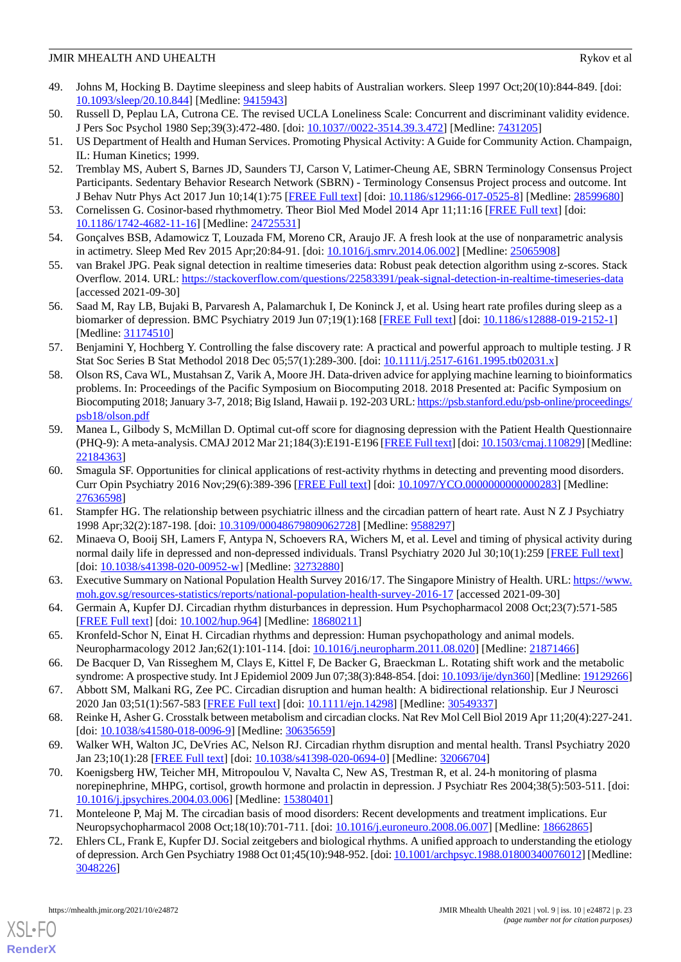- <span id="page-22-0"></span>49. Johns M, Hocking B. Daytime sleepiness and sleep habits of Australian workers. Sleep 1997 Oct;20(10):844-849. [doi: [10.1093/sleep/20.10.844](http://dx.doi.org/10.1093/sleep/20.10.844)] [Medline: [9415943\]](http://www.ncbi.nlm.nih.gov/entrez/query.fcgi?cmd=Retrieve&db=PubMed&list_uids=9415943&dopt=Abstract)
- <span id="page-22-2"></span><span id="page-22-1"></span>50. Russell D, Peplau LA, Cutrona CE. The revised UCLA Loneliness Scale: Concurrent and discriminant validity evidence. J Pers Soc Psychol 1980 Sep;39(3):472-480. [doi: [10.1037//0022-3514.39.3.472\]](http://dx.doi.org/10.1037//0022-3514.39.3.472) [Medline: [7431205](http://www.ncbi.nlm.nih.gov/entrez/query.fcgi?cmd=Retrieve&db=PubMed&list_uids=7431205&dopt=Abstract)]
- <span id="page-22-3"></span>51. US Department of Health and Human Services. Promoting Physical Activity: A Guide for Community Action. Champaign, IL: Human Kinetics; 1999.
- <span id="page-22-4"></span>52. Tremblay MS, Aubert S, Barnes JD, Saunders TJ, Carson V, Latimer-Cheung AE, SBRN Terminology Consensus Project Participants. Sedentary Behavior Research Network (SBRN) - Terminology Consensus Project process and outcome. Int J Behav Nutr Phys Act 2017 Jun 10;14(1):75 [\[FREE Full text\]](https://ijbnpa.biomedcentral.com/articles/10.1186/s12966-017-0525-8) [doi: [10.1186/s12966-017-0525-8](http://dx.doi.org/10.1186/s12966-017-0525-8)] [Medline: [28599680\]](http://www.ncbi.nlm.nih.gov/entrez/query.fcgi?cmd=Retrieve&db=PubMed&list_uids=28599680&dopt=Abstract)
- <span id="page-22-5"></span>53. Cornelissen G. Cosinor-based rhythmometry. Theor Biol Med Model 2014 Apr 11;11:16 [[FREE Full text\]](https://tbiomed.biomedcentral.com/articles/10.1186/1742-4682-11-16) [doi: [10.1186/1742-4682-11-16\]](http://dx.doi.org/10.1186/1742-4682-11-16) [Medline: [24725531\]](http://www.ncbi.nlm.nih.gov/entrez/query.fcgi?cmd=Retrieve&db=PubMed&list_uids=24725531&dopt=Abstract)
- <span id="page-22-6"></span>54. Gonçalves BSB, Adamowicz T, Louzada FM, Moreno CR, Araujo JF. A fresh look at the use of nonparametric analysis in actimetry. Sleep Med Rev 2015 Apr;20:84-91. [doi: [10.1016/j.smrv.2014.06.002\]](http://dx.doi.org/10.1016/j.smrv.2014.06.002) [Medline: [25065908](http://www.ncbi.nlm.nih.gov/entrez/query.fcgi?cmd=Retrieve&db=PubMed&list_uids=25065908&dopt=Abstract)]
- <span id="page-22-7"></span>55. van Brakel JPG. Peak signal detection in realtime timeseries data: Robust peak detection algorithm using z-scores. Stack Overflow. 2014. URL:<https://stackoverflow.com/questions/22583391/peak-signal-detection-in-realtime-timeseries-data> [accessed 2021-09-30]
- <span id="page-22-8"></span>56. Saad M, Ray LB, Bujaki B, Parvaresh A, Palamarchuk I, De Koninck J, et al. Using heart rate profiles during sleep as a biomarker of depression. BMC Psychiatry 2019 Jun 07;19(1):168 [\[FREE Full text](https://bmcpsychiatry.biomedcentral.com/articles/10.1186/s12888-019-2152-1)] [doi: [10.1186/s12888-019-2152-1\]](http://dx.doi.org/10.1186/s12888-019-2152-1) [Medline: [31174510](http://www.ncbi.nlm.nih.gov/entrez/query.fcgi?cmd=Retrieve&db=PubMed&list_uids=31174510&dopt=Abstract)]
- <span id="page-22-9"></span>57. Benjamini Y, Hochberg Y. Controlling the false discovery rate: A practical and powerful approach to multiple testing. J R Stat Soc Series B Stat Methodol 2018 Dec 05;57(1):289-300. [doi: [10.1111/j.2517-6161.1995.tb02031.x\]](http://dx.doi.org/10.1111/j.2517-6161.1995.tb02031.x)
- <span id="page-22-10"></span>58. Olson RS, Cava WL, Mustahsan Z, Varik A, Moore JH. Data-driven advice for applying machine learning to bioinformatics problems. In: Proceedings of the Pacific Symposium on Biocomputing 2018. 2018 Presented at: Pacific Symposium on Biocomputing 2018; January 3-7, 2018; Big Island, Hawaii p. 192-203 URL: [https://psb.stanford.edu/psb-online/proceedings/](https://psb.stanford.edu/psb-online/proceedings/psb18/olson.pdf) [psb18/olson.pdf](https://psb.stanford.edu/psb-online/proceedings/psb18/olson.pdf)
- <span id="page-22-11"></span>59. Manea L, Gilbody S, McMillan D. Optimal cut-off score for diagnosing depression with the Patient Health Questionnaire (PHQ-9): A meta-analysis. CMAJ 2012 Mar 21;184(3):E191-E196 [\[FREE Full text](http://www.cmaj.ca/cgi/pmidlookup?view=long&pmid=22184363)] [doi: [10.1503/cmaj.110829](http://dx.doi.org/10.1503/cmaj.110829)] [Medline: [22184363](http://www.ncbi.nlm.nih.gov/entrez/query.fcgi?cmd=Retrieve&db=PubMed&list_uids=22184363&dopt=Abstract)]
- <span id="page-22-13"></span><span id="page-22-12"></span>60. Smagula SF. Opportunities for clinical applications of rest-activity rhythms in detecting and preventing mood disorders. Curr Opin Psychiatry 2016 Nov;29(6):389-396 [\[FREE Full text\]](http://europepmc.org/abstract/MED/27636598) [doi: [10.1097/YCO.0000000000000283](http://dx.doi.org/10.1097/YCO.0000000000000283)] [Medline: [27636598](http://www.ncbi.nlm.nih.gov/entrez/query.fcgi?cmd=Retrieve&db=PubMed&list_uids=27636598&dopt=Abstract)]
- <span id="page-22-14"></span>61. Stampfer HG. The relationship between psychiatric illness and the circadian pattern of heart rate. Aust N Z J Psychiatry 1998 Apr;32(2):187-198. [doi: [10.3109/00048679809062728\]](http://dx.doi.org/10.3109/00048679809062728) [Medline: [9588297\]](http://www.ncbi.nlm.nih.gov/entrez/query.fcgi?cmd=Retrieve&db=PubMed&list_uids=9588297&dopt=Abstract)
- <span id="page-22-15"></span>62. Minaeva O, Booij SH, Lamers F, Antypa N, Schoevers RA, Wichers M, et al. Level and timing of physical activity during normal daily life in depressed and non-depressed individuals. Transl Psychiatry 2020 Jul 30;10(1):259 [\[FREE Full text\]](https://doi.org/10.1038/s41398-020-00952-w) [doi: [10.1038/s41398-020-00952-w](http://dx.doi.org/10.1038/s41398-020-00952-w)] [Medline: [32732880](http://www.ncbi.nlm.nih.gov/entrez/query.fcgi?cmd=Retrieve&db=PubMed&list_uids=32732880&dopt=Abstract)]
- <span id="page-22-16"></span>63. Executive Summary on National Population Health Survey 2016/17. The Singapore Ministry of Health. URL: [https://www.](https://www.moh.gov.sg/resources-statistics/reports/national-population-health-survey-2016-17) [moh.gov.sg/resources-statistics/reports/national-population-health-survey-2016-17](https://www.moh.gov.sg/resources-statistics/reports/national-population-health-survey-2016-17) [accessed 2021-09-30]
- <span id="page-22-17"></span>64. Germain A, Kupfer DJ. Circadian rhythm disturbances in depression. Hum Psychopharmacol 2008 Oct;23(7):571-585 [[FREE Full text](http://europepmc.org/abstract/MED/18680211)] [doi: [10.1002/hup.964](http://dx.doi.org/10.1002/hup.964)] [Medline: [18680211](http://www.ncbi.nlm.nih.gov/entrez/query.fcgi?cmd=Retrieve&db=PubMed&list_uids=18680211&dopt=Abstract)]
- <span id="page-22-18"></span>65. Kronfeld-Schor N, Einat H. Circadian rhythms and depression: Human psychopathology and animal models. Neuropharmacology 2012 Jan;62(1):101-114. [doi: [10.1016/j.neuropharm.2011.08.020](http://dx.doi.org/10.1016/j.neuropharm.2011.08.020)] [Medline: [21871466](http://www.ncbi.nlm.nih.gov/entrez/query.fcgi?cmd=Retrieve&db=PubMed&list_uids=21871466&dopt=Abstract)]
- <span id="page-22-19"></span>66. De Bacquer D, Van Risseghem M, Clays E, Kittel F, De Backer G, Braeckman L. Rotating shift work and the metabolic syndrome: A prospective study. Int J Epidemiol 2009 Jun 07;38(3):848-854. [doi: [10.1093/ije/dyn360\]](http://dx.doi.org/10.1093/ije/dyn360) [Medline: [19129266\]](http://www.ncbi.nlm.nih.gov/entrez/query.fcgi?cmd=Retrieve&db=PubMed&list_uids=19129266&dopt=Abstract)
- <span id="page-22-20"></span>67. Abbott SM, Malkani RG, Zee PC. Circadian disruption and human health: A bidirectional relationship. Eur J Neurosci 2020 Jan 03;51(1):567-583 [\[FREE Full text\]](http://europepmc.org/abstract/MED/30549337) [doi: [10.1111/ejn.14298\]](http://dx.doi.org/10.1111/ejn.14298) [Medline: [30549337\]](http://www.ncbi.nlm.nih.gov/entrez/query.fcgi?cmd=Retrieve&db=PubMed&list_uids=30549337&dopt=Abstract)
- 68. Reinke H, Asher G. Crosstalk between metabolism and circadian clocks. Nat Rev Mol Cell Biol 2019 Apr 11;20(4):227-241. [doi: [10.1038/s41580-018-0096-9](http://dx.doi.org/10.1038/s41580-018-0096-9)] [Medline: [30635659\]](http://www.ncbi.nlm.nih.gov/entrez/query.fcgi?cmd=Retrieve&db=PubMed&list_uids=30635659&dopt=Abstract)
- <span id="page-22-22"></span><span id="page-22-21"></span>69. Walker WH, Walton JC, DeVries AC, Nelson RJ. Circadian rhythm disruption and mental health. Transl Psychiatry 2020 Jan 23;10(1):28 [\[FREE Full text\]](https://doi.org/10.1038/s41398-020-0694-0) [doi: [10.1038/s41398-020-0694-0](http://dx.doi.org/10.1038/s41398-020-0694-0)] [Medline: [32066704\]](http://www.ncbi.nlm.nih.gov/entrez/query.fcgi?cmd=Retrieve&db=PubMed&list_uids=32066704&dopt=Abstract)
- 70. Koenigsberg HW, Teicher MH, Mitropoulou V, Navalta C, New AS, Trestman R, et al. 24-h monitoring of plasma norepinephrine, MHPG, cortisol, growth hormone and prolactin in depression. J Psychiatr Res 2004;38(5):503-511. [doi: [10.1016/j.jpsychires.2004.03.006](http://dx.doi.org/10.1016/j.jpsychires.2004.03.006)] [Medline: [15380401\]](http://www.ncbi.nlm.nih.gov/entrez/query.fcgi?cmd=Retrieve&db=PubMed&list_uids=15380401&dopt=Abstract)
- 71. Monteleone P, Maj M. The circadian basis of mood disorders: Recent developments and treatment implications. Eur Neuropsychopharmacol 2008 Oct;18(10):701-711. [doi: [10.1016/j.euroneuro.2008.06.007](http://dx.doi.org/10.1016/j.euroneuro.2008.06.007)] [Medline: [18662865\]](http://www.ncbi.nlm.nih.gov/entrez/query.fcgi?cmd=Retrieve&db=PubMed&list_uids=18662865&dopt=Abstract)
- 72. Ehlers CL, Frank E, Kupfer DJ. Social zeitgebers and biological rhythms. A unified approach to understanding the etiology of depression. Arch Gen Psychiatry 1988 Oct 01;45(10):948-952. [doi: [10.1001/archpsyc.1988.01800340076012\]](http://dx.doi.org/10.1001/archpsyc.1988.01800340076012) [Medline: [3048226\]](http://www.ncbi.nlm.nih.gov/entrez/query.fcgi?cmd=Retrieve&db=PubMed&list_uids=3048226&dopt=Abstract)